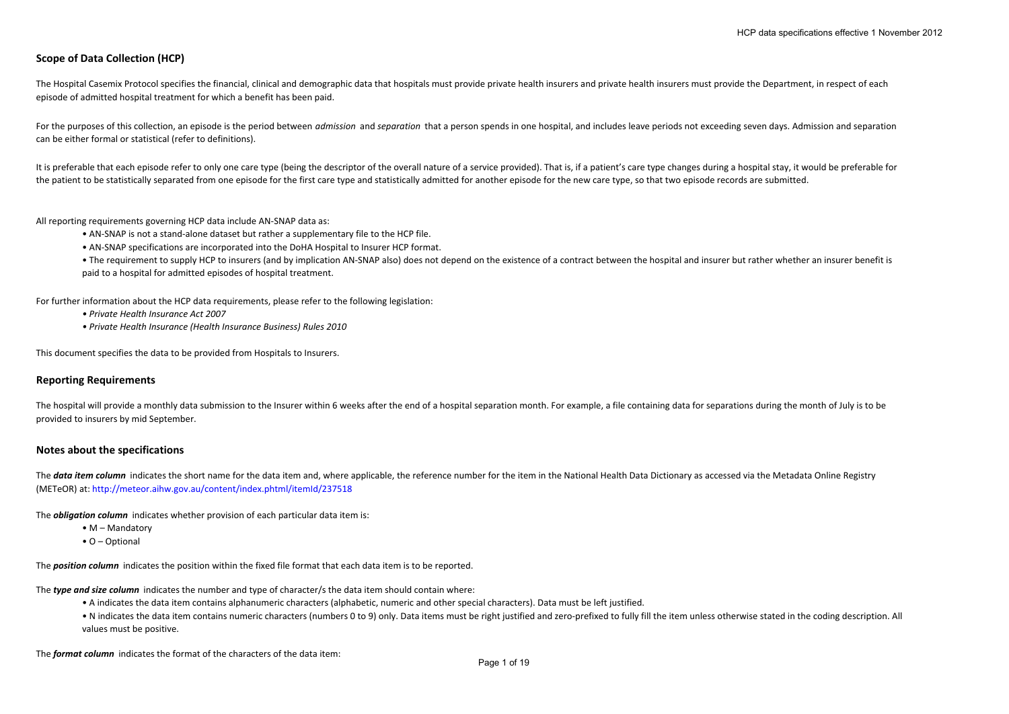# **Scope of Data Collection (HCP)**

The Hospital Casemix Protocol specifies the financial, clinical and demographic data that hospitals must provide private health insurers and private health insurers must provide the Department, in respect of each episode of admitted hospital treatment for which <sup>a</sup> benefit has been paid.

For the purposes of this collection, an episode is the period between *admission* and *separation* that a person spends in one hospital, and includes leave periods not exceeding seven days. Admission and separation can be either formal or statistical (refer to definitions).

It is preferable that each episode refer to only one care type (being the descriptor of the overall nature of a service provided). That is, if a patient's care type changes during a hospital stay, it would be preferable fo the patient to be statistically separated from one episode for the first care type and statistically admitted for another episode for the new care type, so that two episode records are submitted.

All reporting requirements governing HCP data include AN‐SNAP data as:

- AN‐SNAP is not <sup>a</sup> stand‐alone dataset but rather <sup>a</sup> supplementary file to the HCP file.
- AN‐SNAP specifications are incorporated into the DoHA Hospital to Insurer HCP format.
- The requirement to supply HCP to insurers (and by implication AN-SNAP also) does not depend on the existence of a contract between the hospital and insurer but rather whether an insurer benefit is paid to <sup>a</sup> hospital for admitted episodes of hospital treatment.

For further information about the HCP data requirements, please refer to the following legislation:

- *• Private Health Insurance Act 2007*
- *• Private Health Insurance (Health Insurance Business) Rules 2010*

This document specifies the data to be provided from Hospitals to Insurers.

### **Reporting Requirements**

The hospital will provide a monthly data submission to the Insurer within 6 weeks after the end of a hospital separation month. For example, a file containing data for separations during the month of July is to be provided to insurers by mid September.

#### **Notes about the specifications**

The data item column indicates the short name for the data item and, where applicable, the reference number for the item in the National Health Data Dictionary as accessed via the Metadata Online Registry (METeOR) at: http://meteor.aihw.gov.au/content/index.phtml/itemId/237518

The *obligation column* indicates whether provision of each particular data item is:

• M – Mandatory

• O – Optional

The *position column* indicates the position within the fixed file format that each data item is to be reported.

The *type and size column* indicates the number and type of character/s the data item should contain where:

- A indicates the data item contains alphanumeric characters (alphabetic, numeric and other special characters). Data must be left justified.
- N indicates the data item contains numeric characters (numbers 0 to 9) only. Data items must be right justified and zero-prefixed to fully fill the item unless otherwise stated in the coding description. All values must be positive.

The *format column* indicates the format of the characters of the data item: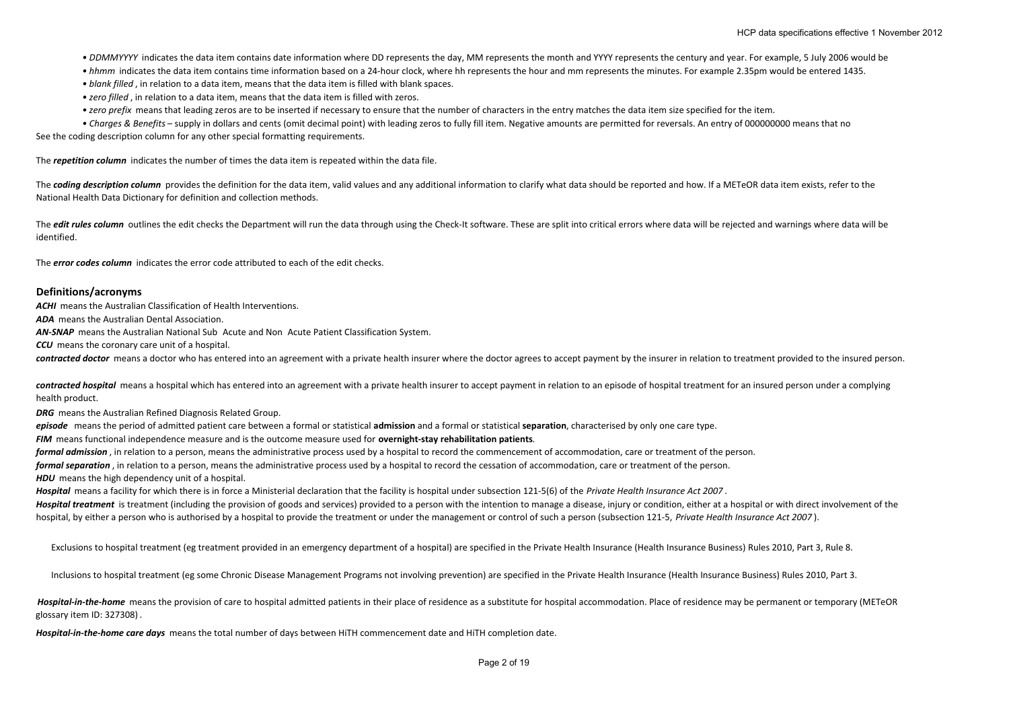• DDMMYYYY indicates the data item contains date information where DD represents the day, MM represents the month and YYYY represents the century and year. For example, 5 July 2006 would be

• *hhmm* indicates the data item contains time information based on a 24‐hour clock, where hh represents the hour and mm represents the minutes. For example 2.35pm would be entered 1435.

*• blank filled* , in relation to <sup>a</sup> data item, means that the data item is filled with blank spaces.

*• zero filled* , in relation to <sup>a</sup> data item, means that the data item is filled with zeros.

*• zero prefix* means that leading zeros are to be inserted if necessary to ensure that the number of characters in the entry matches the data item size specified for the item.

*• Charges & Benefits* – supply in dollars and cents (omit decimal point) with leading zeros to fully fill item. Negative amounts are permitted for reversals. An entry of 000000000 means that no

See the coding description column for any other special formatting requirements.

The *repetition column* indicates the number of times the data item is repeated within the data file.

The coding description column provides the definition for the data item, valid values and any additional information to clarify what data should be reported and how. If a METeOR data item exists, refer to the National Health Data Dictionary for definition and collection methods.

The *edit rules column* outlines the edit checks the Department will run the data through using the Check-It software. These are split into critical errors where data will be rejected and warnings where data will be identified.

The *error codes column* indicates the error code attributed to each of the edit checks.

### **Definitions/acronyms**

*ACHI* means the Australian Classification of Health Interventions.

*ADA* means the Australian Dental Association.

**AN-SNAP** means the Australian National Sub Acute and Non Acute Patient Classification System.

*CCU* means the coronary care unit of <sup>a</sup> hospital.

*contracted doctor* means <sup>a</sup> doctor who has entered into an agreement with <sup>a</sup> private health insurer where the doctor agrees to accept payment by the insurer in relation to treatment provided to the insured person.

*contracted hospital* means <sup>a</sup> hospital which has entered into an agreement with <sup>a</sup> private health insurer to accept payment in relation to an episode of hospital treatment for an insured person under <sup>a</sup> complying health product.

*DRG* means the Australian Refined Diagnosis Related Group.

*episode* means the period of admitted patient care between <sup>a</sup> formal or statistical **admission** and <sup>a</sup> formal or statistical **separation**, characterised by only one care type.

*FIM* means functional independence measure and is the outcome measure used for **overnight‐stay rehabilitation patients**.

*formal admission* , in relation to <sup>a</sup> person, means the administrative process used by <sup>a</sup> hospital to record the commencement of accommodation, care or treatment of the person.

*formal separation* , in relation to <sup>a</sup> person, means the administrative process used by <sup>a</sup> hospital to record the cessation of accommodation, care or treatment of the person.

*HDU* means the high dependency unit of <sup>a</sup> hospital.

*Hospital* means <sup>a</sup> facility for which there is in force <sup>a</sup> Ministerial declaration that the facility is hospital under subsection 121‐5(6) of the *Private Health Insurance Act 2007* .

Hospital treatment is treatment (including the provision of goods and services) provided to a person with the intention to manage a disease, injury or condition, either at a hospital or with direct involvement of the hospital, by either a person who is authorised by a hospital to provide the treatment or under the management or control of such a person (subsection 121-5, Private Health Insurance Act 2007).

Exclusions to hospital treatment (eg treatment provided in an emergency department of <sup>a</sup> hospital) are specified in the Private Health Insurance (Health Insurance Business) Rules 2010, Part 3, Rule 8.

Inclusions to hospital treatment (eg some Chronic Disease Management Programs not involving prevention) are specified in the Private Health Insurance (Health Insurance Business) Rules 2010, Part 3.

Hospital-in-the-home means the provision of care to hospital admitted patients in their place of residence as a substitute for hospital accommodation. Place of residence may be permanent or temporary (METeOR glossary item ID: 327308) .

*Hospital‐in‐the‐home care days* means the total number of days between HiTH commencement date and HiTH completion date.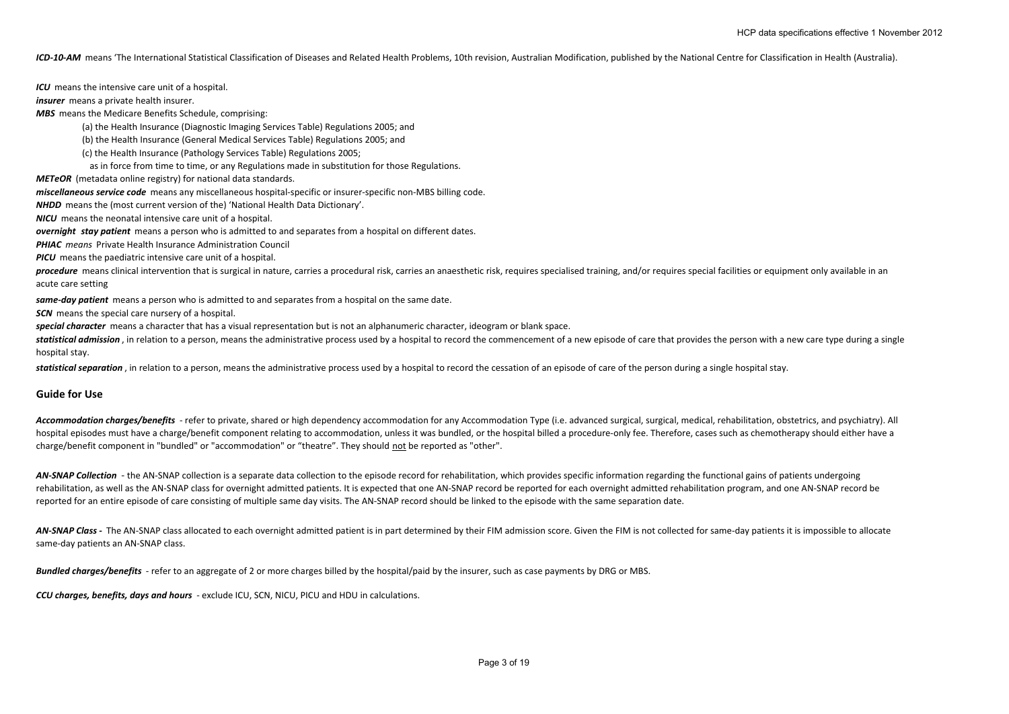ICD-10-AM means 'The International Statistical Classification of Diseases and Related Health Problems, 10th revision, Australian Modification, published by the National Centre for Classification in Health (Australia).

*ICU* means the intensive care unit of <sup>a</sup> hospital.

*insurer* means a private health insurer.

*MBS* means the Medicare Benefits Schedule, comprising:

(a) the Health Insurance (Diagnostic Imaging Services Table) Regulations 2005; and

(b) the Health Insurance (General Medical Services Table) Regulations 2005; and

(c) the Health Insurance (Pathology Services Table) Regulations 2005;

as in force from time to time, or any Regulations made in substitution for those Regulations.

*METeOR* (metadata online registry) for national data standards.

*miscellaneous service code* means any miscellaneous hospital‐specific or insurer‐specific non‐MBS billing code.

*NHDD* means the (most current version of the) 'National Health Data Dictionary'.

*NICU* means the neonatal intensive care unit of <sup>a</sup> hospital.

*overnight stay patient* means a person who is admitted to and separates from a hospital on different dates.

*PHIAC means* Private Health Insurance Administration Council

*PICU* means the paediatric intensive care unit of <sup>a</sup> hospital.

procedure means clinical intervention that is surgical in nature, carries a procedural risk, carries an anaesthetic risk, requires specialised training, and/or requires special facilities or equipment only available in an acute care setting

*same‐day patient* means <sup>a</sup> person who is admitted to and separates from <sup>a</sup> hospital on the same date.

*SCN* means the special care nursery of <sup>a</sup> hospital.

*special character* means <sup>a</sup> character that has <sup>a</sup> visual representation but is not an alphanumeric character, ideogram or blank space.

statistical admission, in relation to a person, means the administrative process used by a hospital to record the commencement of a new episode of care that provides the person with a new care type during a single hospital stay.

*statistical separation* , in relation to <sup>a</sup> person, means the administrative process used by <sup>a</sup> hospital to record the cessation of an episode of care of the person during <sup>a</sup> single hospital stay.

### **Guide for Use**

Accommodation charges/benefits - refer to private, shared or high dependency accommodation for any Accommodation Type (i.e. advanced surgical, surgical, medical, rehabilitation, obstetrics, and psychiatry). All hospital episodes must have a charge/benefit component relating to accommodation, unless it was bundled, or the hospital billed a procedure-only fee. Therefore, cases such as chemotherapy should either have a charge/benefit component in "bundled" or "accommodation" or "theatre". They should not be reported as "other".

AN-SNAP Collection - the AN-SNAP collection is a separate data collection to the episode record for rehabilitation, which provides specific information regarding the functional gains of patients undergoing rehabilitation, as well as the AN‐SNAP class for overnight admitted patients. It is expected that one AN‐SNAP record be reported for each overnight admitted rehabilitation program, and one AN‐SNAP record be reported for an entire episode of care consisting of multiple same day visits. The AN‐SNAP record should be linked to the episode with the same separation date.

AN-SNAP Class - The AN-SNAP class allocated to each overnight admitted patient is in part determined by their FIM admission score. Given the FIM is not collected for same-day patients it is impossible to allocate same-day patients an AN-SNAP class.

*Bundled charges/benefits* ‐ refer to an aggregate of 2 or more charges billed by the hospital/paid by the insurer, such as case payments by DRG or MBS.

*CCU charges, benefits, days and hours* ‐ exclude ICU, SCN, NICU, PICU and HDU in calculations.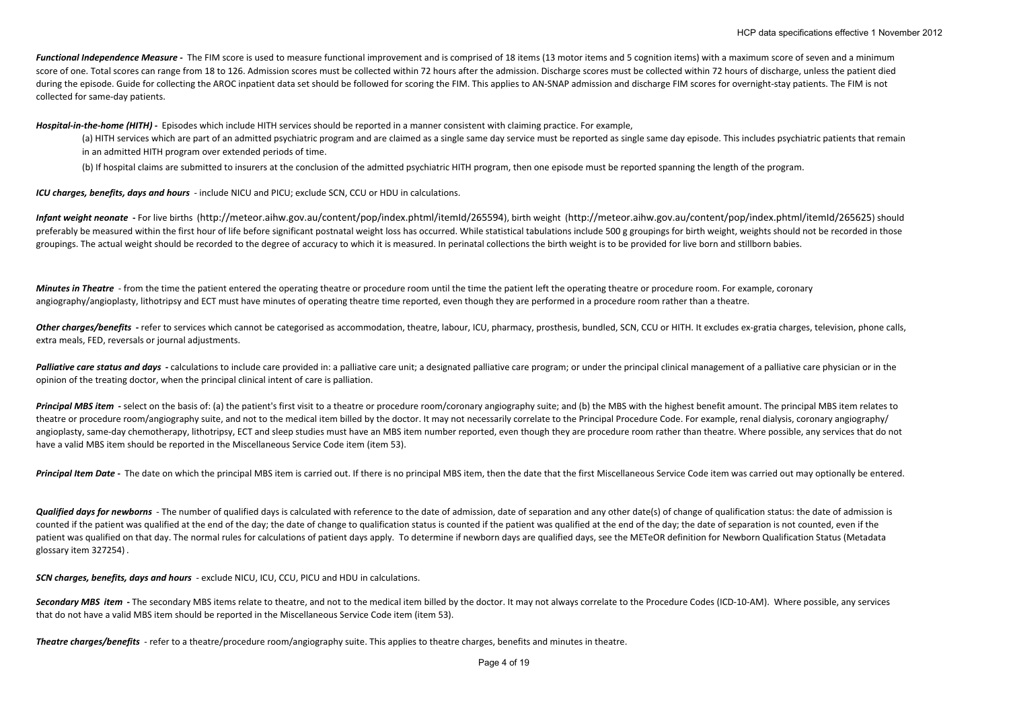Functional Independence Measure - The FIM score is used to measure functional improvement and is comprised of 18 items (13 motor items and 5 cognition items) with a maximum score of seven and a minimum score of one. Total scores can range from 18 to 126. Admission scores must be collected within 72 hours after the admission. Discharge scores must be collected within 72 hours of discharge, unless the patient died during the episode. Guide for collecting the AROC inpatient data set should be followed for scoring the FIM. This applies to AN-SNAP admission and discharge FIM scores for overnight-stay patients. The FIM is not collected for same‐day patients.

*Hospital‐in‐the‐home (HITH) ‐*  Episodes which include HITH services should be reported in <sup>a</sup> manner consistent with claiming practice. For example,

(a) HITH services which are part of an admitted psychiatric program and are claimed as <sup>a</sup> single same day service must be reported as single same day episode. This includes psychiatric patients that remain in an admitted HITH program over extended periods of time.

(b) If hospital claims are submitted to insurers at the conclusion of the admitted psychiatric HITH program, then one episode must be reported spanning the length of the program.

*ICU charges, benefits, days and hours* ‐ include NICU and PICU; exclude SCN, CCU or HDU in calculations.

Infant weight neonate - For live births (http://meteor.aihw.gov.au/content/pop/index.phtml/itemld/265594), birth weight (http://meteor.aihw.gov.au/content/pop/index.phtml/itemld/265594), birth weight (http://meteor.aihw.go preferably be measured within the first hour of life before significant postnatal weight loss has occurred. While statistical tabulations include 500 g groupings for birth weight, weights should not be recorded in those groupings. The actual weight should be recorded to the degree of accuracy to which it is measured. In perinatal collections the birth weight is to be provided for live born and stillborn babies.

**Minutes in Theatre** - from the time the patient entered the operating theatre or procedure room until the time the patient left the operating theatre or procedure room. For example, coronary angiography/angioplasty, lithotripsy and ECT must have minutes of operating theatre time reported, even though they are performed in a procedure room rather than a theatre.

Other charges/benefits - refer to services which cannot be categorised as accommodation, theatre, labour, ICU, pharmacy, prosthesis, bundled, SCN, CCU or HITH. It excludes ex-gratia charges, television, phone calls, extra meals, FED, reversals or journal adjustments.

Palliative care status and days - calculations to include care provided in: a palliative care unit; a designated palliative care program; or under the principal clinical management of a palliative care physician or in the opinion of the treating doctor, when the principal clinical intent of care is palliation.

Principal MBS item - select on the basis of: (a) the patient's first visit to a theatre or procedure room/coronary angiography suite: and (b) the MBS with the highest benefit amount. The principal MBS item relates to theatre or procedure room/angiography suite, and not to the medical item billed by the doctor. It may not necessarily correlate to the Principal Procedure Code. For example, renal dialysis, coronary angiography/ angioplasty, same-day chemotherapy, lithotripsy, ECT and sleep studies must have an MBS item number reported, even though they are procedure room rather than theatre. Where possible, any services that do not have <sup>a</sup> valid MBS item should be reported in the Miscellaneous Service Code item (item 53).

Principal Item Date - The date on which the principal MBS item is carried out. If there is no principal MBS item, then the date that the first Miscellaneous Service Code item was carried out may optionally be entered.

Qualified days for newborns - The number of qualified days is calculated with reference to the date of admission, date of separation and any other date(s) of change of qualification status: the date of admission is counted if the patient was qualified at the end of the day; the date of change to qualification status is counted if the patient was qualified at the end of the day; the date of separation is not counted, even if the patient was qualified on that day. The normal rules for calculations of patient days apply. To determine if newborn days are qualified days, see the METeOR definition for Newborn Qualification Status (Metadata glossary item 327254) .

*SCN charges, benefits, days and hours* ‐ exclude NICU, ICU, CCU, PICU and HDU in calculations.

Secondary MBS item - The secondary MBS items relate to theatre, and not to the medical item billed by the doctor. It may not always correlate to the Procedure Codes (ICD-10-AM). Where possible, any services that do not have <sup>a</sup> valid MBS item should be reported in the Miscellaneous Service Code item (item 53).

*Theatre charges/benefits* ‐ refer to <sup>a</sup> theatre/procedure room/angiography suite. This applies to theatre charges, benefits and minutes in theatre.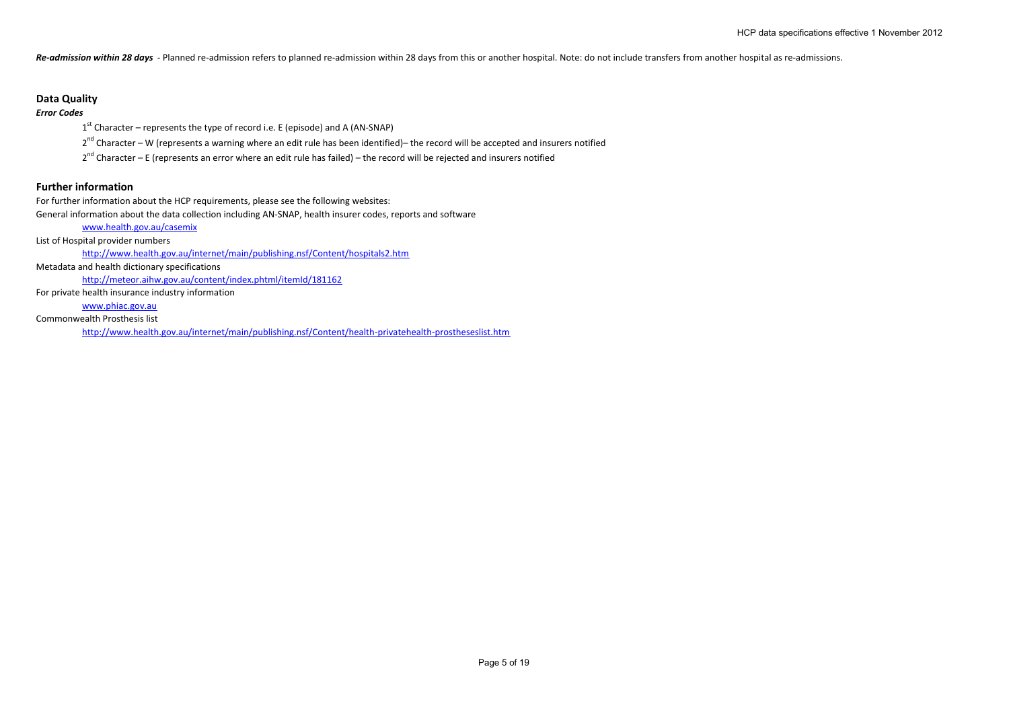Re-admission within 28 days - Planned re-admission refers to planned re-admission within 28 days from this or another hospital. Note: do not include transfers from another hospital as re-admissions.

# **Data Quality**

*Error Codes*

 $1<sup>st</sup>$  Character – represents the type of record i.e. E (episode) and A (AN-SNAP)

2<sup>nd</sup> Character – W (represents a warning where an edit rule has been identified)– the record will be accepted and insurers notified

2<sup>nd</sup> Character – E (represents an error where an edit rule has failed) – the record will be rejected and insurers notified

# **Further information**

For further information about the HCP requirements, please see the following websites: General information about the data collection including AN‐SNAP, health insurer codes, reports and software

www.health.gov.au/casemix

List of Hospital provider numbers

http://www.health.gov.au/internet/main/publishing.nsf/Content/hospitals2.htm

Metadata and health dictionary specifications

http://meteor.aihw.gov.au/content/index.phtml/itemId/181162

For private health insurance industry information

www.phiac.gov.au

Commonwealth Prosthesis list

http://www.health.gov.au/internet/main/publishing.nsf/Content/health‐privatehealth‐prostheseslist.htm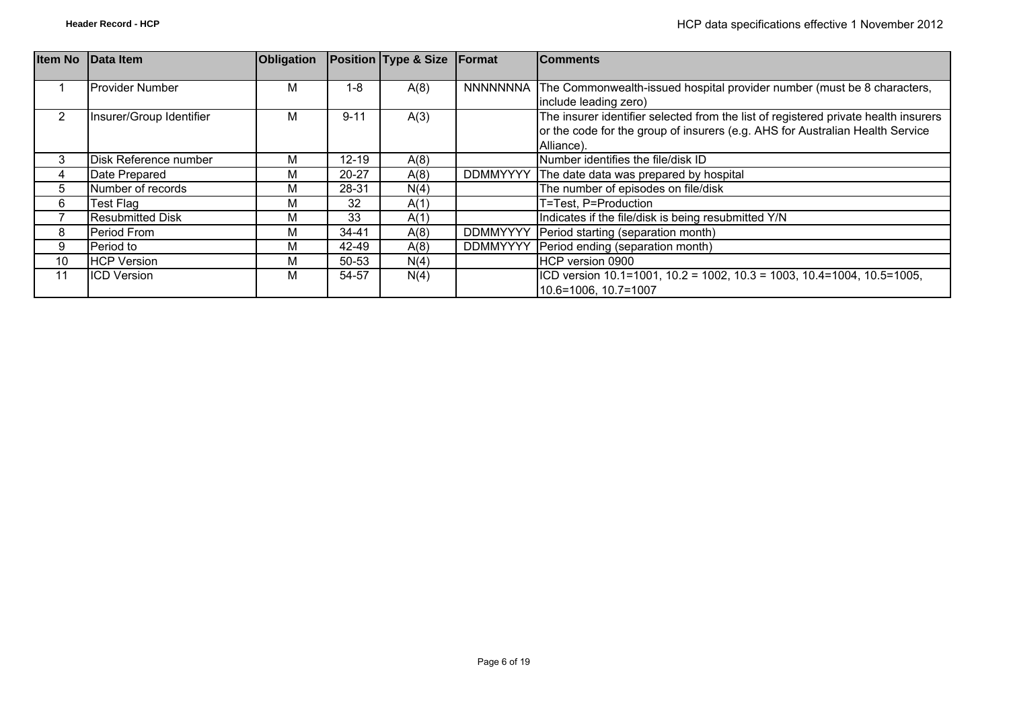| <b>Item No</b> | <b>Data Item</b>         | Obligation |           | Position Type & Size Format |                 | <b>Comments</b>                                                                                                                                                                    |
|----------------|--------------------------|------------|-----------|-----------------------------|-----------------|------------------------------------------------------------------------------------------------------------------------------------------------------------------------------------|
|                | <b>Provider Number</b>   | М          | $1 - 8$   | A(8)                        |                 | NNNNNNNA The Commonwealth-issued hospital provider number (must be 8 characters,<br>include leading zero)                                                                          |
| 2              | Insurer/Group Identifier | М          | $9 - 11$  | A(3)                        |                 | The insurer identifier selected from the list of registered private health insurers<br>or the code for the group of insurers (e.g. AHS for Australian Health Service<br>Alliance). |
| 3              | Disk Reference number    | М          | $12 - 19$ | A(8)                        |                 | Number identifies the file/disk ID                                                                                                                                                 |
| 4              | Date Prepared            | М          | $20 - 27$ | A(8)                        | <b>DDMMYYYY</b> | The date data was prepared by hospital                                                                                                                                             |
| 5              | Number of records        | М          | 28-31     | N(4)                        |                 | The number of episodes on file/disk                                                                                                                                                |
| 6              | Test Flag                | М          | 32        | A(1)                        |                 | T=Test, P=Production                                                                                                                                                               |
|                | <b>Resubmitted Disk</b>  | М          | 33        | A(1)                        |                 | Indicates if the file/disk is being resubmitted Y/N                                                                                                                                |
| 8              | Period From              | М          | $34 - 41$ | A(8)                        | <b>DDMMYYYY</b> | Period starting (separation month)                                                                                                                                                 |
| 9              | Period to                | М          | 42-49     | A(8)                        | <b>DDMMYYYY</b> | Period ending (separation month)                                                                                                                                                   |
| 10             | <b>HCP Version</b>       | М          | 50-53     | N(4)                        |                 | HCP version 0900                                                                                                                                                                   |
| 11             | <b>ICD Version</b>       | м          | 54-57     | N(4)                        |                 | $\vert$ ICD version 10.1=1001, 10.2 = 1002, 10.3 = 1003, 10.4=1004, 10.5=1005,<br>10.6=1006, 10.7=1007                                                                             |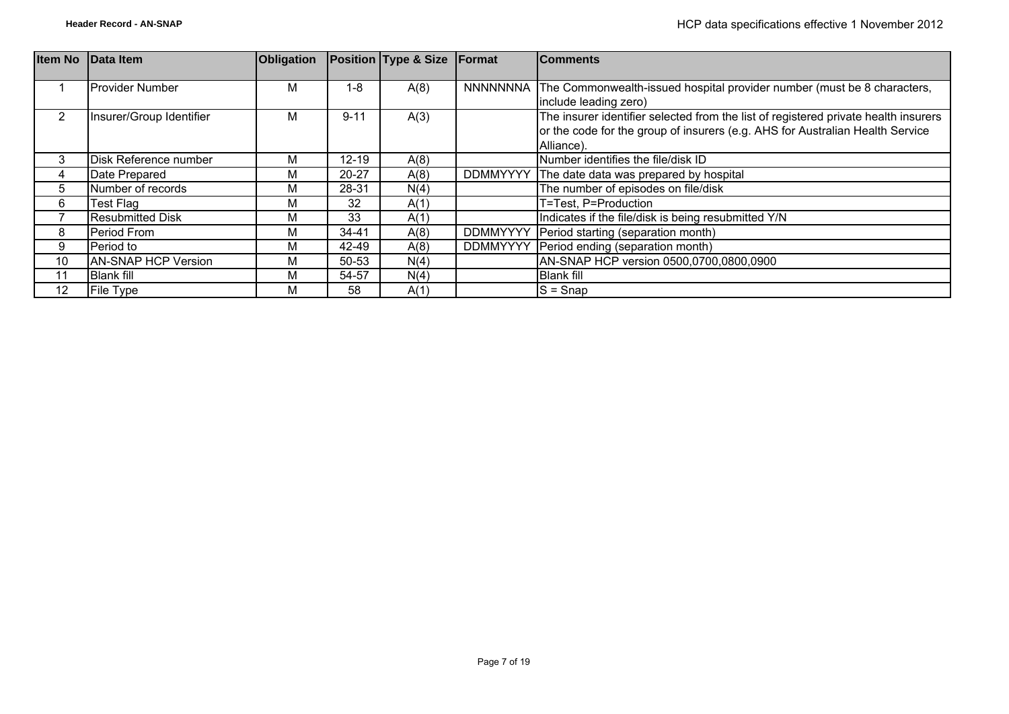| <b>Item No</b> | Data Item                  | <b>Obligation</b> |           | Position Type & Size Format |                 | <b>Comments</b>                                                                     |
|----------------|----------------------------|-------------------|-----------|-----------------------------|-----------------|-------------------------------------------------------------------------------------|
|                |                            |                   |           |                             |                 |                                                                                     |
|                | <b>Provider Number</b>     | м                 | 1-8       | A(8)                        | NNNNNNNA        | The Commonwealth-issued hospital provider number (must be 8 characters,             |
|                |                            |                   |           |                             |                 | include leading zero)                                                               |
| 2              | Insurer/Group Identifier   | м                 | $9 - 11$  | A(3)                        |                 | The insurer identifier selected from the list of registered private health insurers |
|                |                            |                   |           |                             |                 | or the code for the group of insurers (e.g. AHS for Australian Health Service       |
|                |                            |                   |           |                             |                 | Alliance).                                                                          |
| 3              | Disk Reference number      | М                 | $12 - 19$ | A(8)                        |                 | Number identifies the file/disk ID                                                  |
| 4              | Date Prepared              | М                 | $20 - 27$ | A(8)                        | <b>DDMMYYYY</b> | The date data was prepared by hospital                                              |
| 5              | Number of records          | М                 | 28-31     | N(4)                        |                 | The number of episodes on file/disk                                                 |
| 6              | Test Flag                  | M                 | 32        | A(1)                        |                 | T=Test, P=Production                                                                |
|                | <b>Resubmitted Disk</b>    | М                 | 33        | A(1)                        |                 | Indicates if the file/disk is being resubmitted Y/N                                 |
| 8              | Period From                | М                 | 34-41     | A(8)                        | <b>DDMMYYYY</b> | Period starting (separation month)                                                  |
| 9              | Period to                  | M                 | 42-49     | A(8)                        | <b>DDMMYYYY</b> | Period ending (separation month)                                                    |
| 10             | <b>AN-SNAP HCP Version</b> | М                 | 50-53     | N(4)                        |                 | AN-SNAP HCP version 0500,0700,0800,0900                                             |
| 11             | <b>Blank fill</b>          | М                 | 54-57     | N(4)                        |                 | <b>Blank fill</b>                                                                   |
| 12             | File Type                  | М                 | 58        | A(1)                        |                 | $S =$ Snap                                                                          |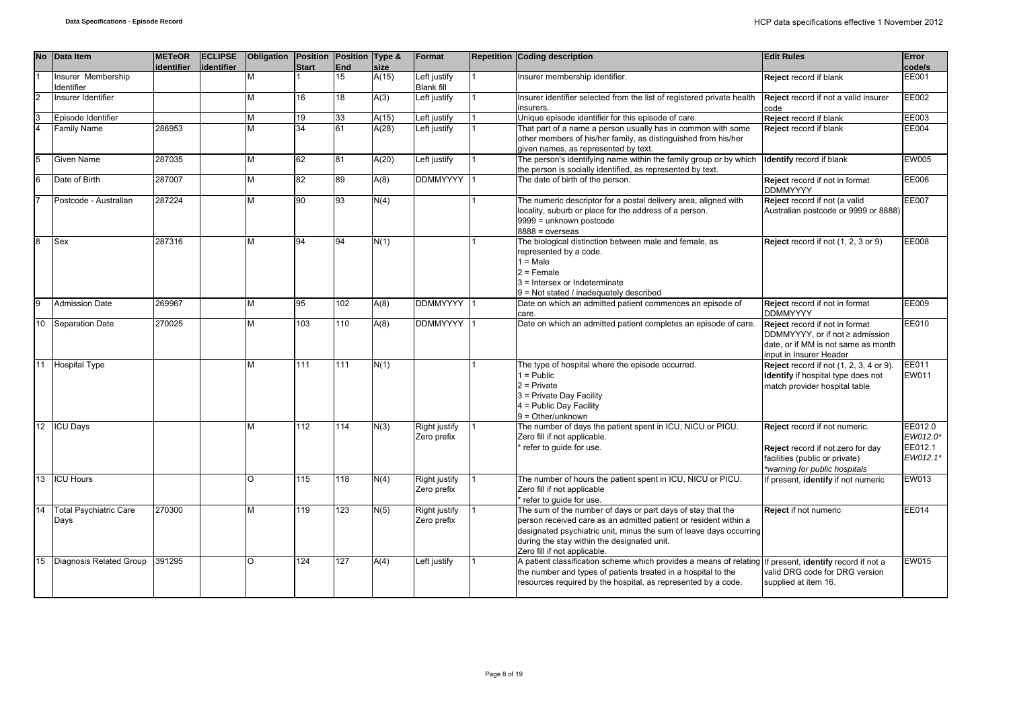| <b>No</b>      | Data Item                             | <b>METeOR</b><br><b>identifier</b> | <b>ECLIPSE</b><br>identifier | <b>Obligation</b> | <b>Position</b><br><b>Start</b> | Position Type &<br>End | size  | Format                            | <b>Repetition Coding description</b>                                                                                                                                                                                                                                                 | <b>Edit Rules</b>                                                                                                                     | Error<br>code/s                            |
|----------------|---------------------------------------|------------------------------------|------------------------------|-------------------|---------------------------------|------------------------|-------|-----------------------------------|--------------------------------------------------------------------------------------------------------------------------------------------------------------------------------------------------------------------------------------------------------------------------------------|---------------------------------------------------------------------------------------------------------------------------------------|--------------------------------------------|
|                | Insurer Membership<br>Identifier      |                                    |                              | M                 |                                 | 15                     | A(15) | Left justify<br><b>Blank fill</b> | Insurer membership identifier.                                                                                                                                                                                                                                                       | Reject record if blank                                                                                                                | <b>EE001</b>                               |
| $\overline{2}$ | Insurer Identifier                    |                                    |                              | M                 | 16                              | 18                     | A(3)  | Left justify                      | Insurer identifier selected from the list of registered private health<br>insurers.                                                                                                                                                                                                  | Reject record if not a valid insurer<br>code                                                                                          | EE002                                      |
| $\overline{3}$ | Episode Identifier                    |                                    |                              | M                 | 19                              | 33                     | A(15) | Left justify                      | Unique episode identifier for this episode of care.                                                                                                                                                                                                                                  | Reject record if blank                                                                                                                | EE003                                      |
| $\overline{4}$ | <b>Family Name</b>                    | 286953                             |                              | M                 | $\overline{34}$                 | 61                     | A(28) | Left justify                      | That part of a name a person usually has in common with some<br>other members of his/her family, as distinguished from his/her<br>given names, as represented by text.                                                                                                               | Reject record if blank                                                                                                                | <b>EE004</b>                               |
| $\overline{5}$ | Given Name                            | 287035                             |                              | M                 | 62                              | 81                     | A(20) | Left justify                      | The person's identifying name within the family group or by which<br>the person is socially identified, as represented by text.                                                                                                                                                      | <b>Identify record if blank</b>                                                                                                       | <b>EW005</b>                               |
| 6              | Date of Birth                         | 287007                             |                              | M                 | 82                              | 89                     | A(8)  | <b>DDMMYYYY</b>                   | The date of birth of the person.                                                                                                                                                                                                                                                     | Reject record if not in format<br><b>DDMMYYYY</b>                                                                                     | EE006                                      |
| $\overline{7}$ | Postcode - Australian                 | 287224                             |                              | M                 | 90                              | 93                     | N(4)  |                                   | The numeric descriptor for a postal delivery area, aligned with<br>locality, suburb or place for the address of a person.<br>9999 = unknown postcode<br>$8888 = 0$ verseas                                                                                                           | Reject record if not (a valid<br>Australian postcode or 9999 or 8888)                                                                 | <b>EE007</b>                               |
| $\overline{8}$ | Sex                                   | 287316                             |                              | M                 | 94                              | 94                     | N(1)  |                                   | The biological distinction between male and female, as<br>represented by a code.<br>$1 = Male$<br>$2 =$ Female<br>3 = Intersex or Indeterminate<br>9 = Not stated / inadequately described                                                                                           | Reject record if not (1, 2, 3 or 9)                                                                                                   | EE008                                      |
| la             | <b>Admission Date</b>                 | 269967                             |                              | M                 | 95                              | 102                    | A(8)  | <b>DDMMYYYY</b>                   | Date on which an admitted patient commences an episode of<br>care.                                                                                                                                                                                                                   | Reject record if not in format<br><b>DDMMYYYY</b>                                                                                     | EE009                                      |
| 10             | <b>Separation Date</b>                | 270025                             |                              | M                 | 103                             | 110                    | A(8)  | <b>DDMMYYYY</b>                   | Date on which an admitted patient completes an episode of care.                                                                                                                                                                                                                      | Reject record if not in format<br>DDMMYYYY, or if not ≥ admission<br>date, or if MM is not same as month<br>input in Insurer Header   | EE010                                      |
| 11             | <b>Hospital Type</b>                  |                                    |                              | M                 | 111                             | 111                    | N(1)  |                                   | The type of hospital where the episode occurred.<br>$1 =$ Public<br>$2$ = Private<br>3 = Private Day Facility<br>4 = Public Day Facility<br>$9 = Other/unknown$                                                                                                                      | Reject record if not $(1, 2, 3, 4$ or 9).<br>Identify if hospital type does not<br>match provider hospital table                      | EE011<br>EW011                             |
| 12             | <b>ICU Days</b>                       |                                    |                              | M                 | 112                             | 114                    | N(3)  | Right justify<br>Zero prefix      | The number of days the patient spent in ICU, NICU or PICU.<br>Zero fill if not applicable.<br>refer to guide for use.                                                                                                                                                                | Reject record if not numeric.<br>Reject record if not zero for day<br>facilities (public or private)<br>*warning for public hospitals | EE012.0<br>EW012.0*<br>EE012.1<br>EW012.1* |
| 13             | <b>ICU Hours</b>                      |                                    |                              | $\circ$           | 115                             | 118                    | N(4)  | Right justify<br>Zero prefix      | The number of hours the patient spent in ICU, NICU or PICU.<br>Zero fill if not applicable<br>refer to quide for use.                                                                                                                                                                | f present, identify if not numeric                                                                                                    | EW013                                      |
| 14             | <b>Total Psychiatric Care</b><br>Days | 270300                             |                              | M                 | 119                             | $\overline{123}$       | N(5)  | Right justify<br>Zero prefix      | The sum of the number of days or part days of stay that the<br>person received care as an admitted patient or resident within a<br>designated psychiatric unit, minus the sum of leave days occurring<br>during the stay within the designated unit.<br>Zero fill if not applicable. | Reject if not numeric                                                                                                                 | <b>EE014</b>                               |
| 15             | Diagnosis Related Group               | 391295                             |                              | $\Omega$          | 124                             | 127                    | A(4)  | Left justify                      | A patient classification scheme which provides a means of relating If present, identify record if not a<br>the number and types of patients treated in a hospital to the<br>resources required by the hospital, as represented by a code.                                            | valid DRG code for DRG version<br>supplied at item 16.                                                                                | EW015                                      |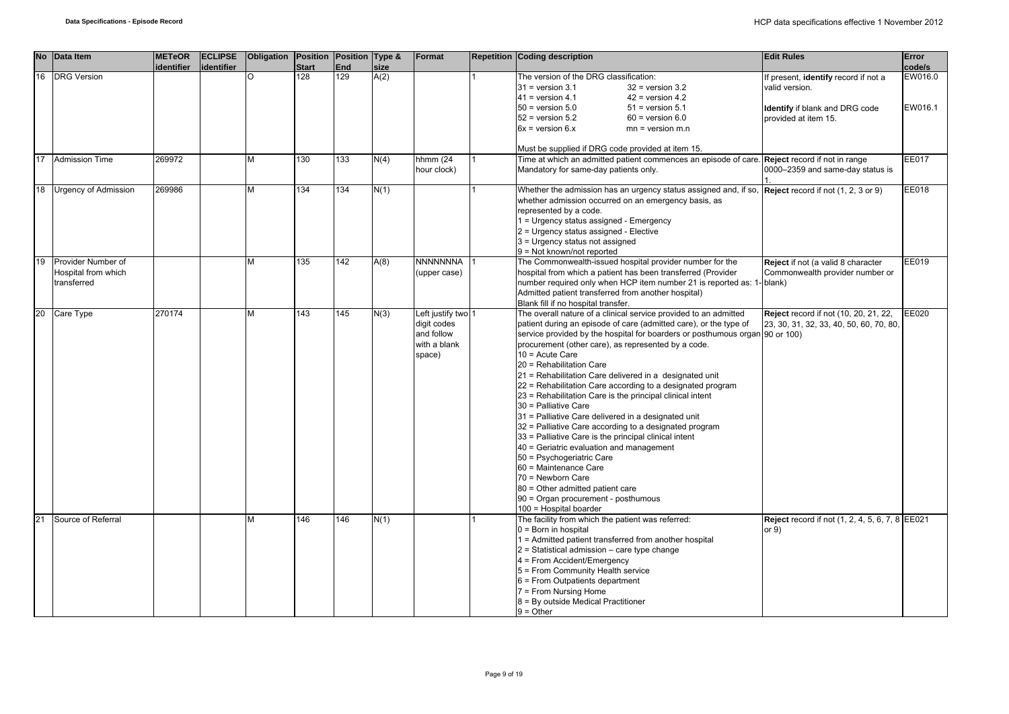|    | No Data Item                                             | <b>METeOR</b><br>identifier | <b>ECLIPSE</b><br>identifier | Obligation | Position Position Type &<br><b>Start</b> | <b>End</b> | size | Format                                                                    | <b>Repetition Coding description</b>                                                                                                                                                                                                                                                                                                                                                                                                                                                                                                                                                                                                                                                                                                                                                                                                                                                                                                              | <b>Edit Rules</b>                                                                                                       | Error<br>code/s    |
|----|----------------------------------------------------------|-----------------------------|------------------------------|------------|------------------------------------------|------------|------|---------------------------------------------------------------------------|---------------------------------------------------------------------------------------------------------------------------------------------------------------------------------------------------------------------------------------------------------------------------------------------------------------------------------------------------------------------------------------------------------------------------------------------------------------------------------------------------------------------------------------------------------------------------------------------------------------------------------------------------------------------------------------------------------------------------------------------------------------------------------------------------------------------------------------------------------------------------------------------------------------------------------------------------|-------------------------------------------------------------------------------------------------------------------------|--------------------|
| 16 | <b>DRG</b> Version                                       |                             |                              | $\Omega$   | 128                                      | 129        | A(2) |                                                                           | The version of the DRG classification:<br>$31$ = version $3.1$<br>$32$ = version $3.2$<br>$41$ = version 4.1<br>$42$ = version 4.2<br>$50 =$ version $5.0$<br>$51$ = version $5.1$<br>$52$ = version $5.2$<br>$60$ = version $6.0$<br>$6x = version 6.x$<br>$mn = version m.n$                                                                                                                                                                                                                                                                                                                                                                                                                                                                                                                                                                                                                                                                    | If present, identify record if not a<br>valid version.<br><b>Identify</b> if blank and DRG code<br>provided at item 15. | EW016.0<br>EW016.1 |
| 17 | <b>Admission Time</b>                                    | 269972                      |                              | м          | 130                                      | 133        | N(4) | hhmm (24<br>hour clock)                                                   | Must be supplied if DRG code provided at item 15.<br>Time at which an admitted patient commences an episode of care. Reject record if not in range<br>Mandatory for same-day patients only.                                                                                                                                                                                                                                                                                                                                                                                                                                                                                                                                                                                                                                                                                                                                                       | 0000-2359 and same-day status is                                                                                        | EE017              |
| 18 | <b>Urgency of Admission</b>                              | 269986                      |                              | M          | 134                                      | 134        | N(1) |                                                                           | Whether the admission has an urgency status assigned and, if so, $\sqrt{\text{Reject } }$ record if not (1, 2, 3 or 9)<br>whether admission occurred on an emergency basis, as<br>represented by a code.<br>1 = Urgency status assigned - Emergency<br>2 = Urgency status assigned - Elective<br>3 = Urgency status not assigned<br>$9 = Not known/not reported$                                                                                                                                                                                                                                                                                                                                                                                                                                                                                                                                                                                  |                                                                                                                         | EE018              |
| 19 | Provider Number of<br>Hospital from which<br>transferred |                             |                              | м          | 135                                      | 142        | A(8) | <b>NNNNNNNA</b><br>(upper case)                                           | The Commonwealth-issued hospital provider number for the<br>hospital from which a patient has been transferred (Provider<br>number required only when HCP item number 21 is reported as: 1- blank)<br>Admitted patient transferred from another hospital)<br>Blank fill if no hospital transfer.                                                                                                                                                                                                                                                                                                                                                                                                                                                                                                                                                                                                                                                  | Reject if not (a valid 8 character<br>Commonwealth provider number or                                                   | EE019              |
| 20 | Care Type                                                | 270174                      |                              | м          | 143                                      | 145        | N(3) | Left justify two 1<br>digit codes<br>and follow<br>with a blank<br>space) | The overall nature of a clinical service provided to an admitted<br>patient during an episode of care (admitted care), or the type of<br>service provided by the hospital for boarders or posthumous organ 90 or 100)<br>procurement (other care), as represented by a code.<br>$10 =$ Acute Care<br>20 = Rehabilitation Care<br>21 = Rehabilitation Care delivered in a designated unit<br>22 = Rehabilitation Care according to a designated program<br>23 = Rehabilitation Care is the principal clinical intent<br>30 = Palliative Care<br>31 = Palliative Care delivered in a designated unit<br>32 = Palliative Care according to a designated program<br>33 = Palliative Care is the principal clinical intent<br>40 = Geriatric evaluation and management<br>50 = Psychogeriatric Care<br>60 = Maintenance Care<br>70 = Newborn Care<br>80 = Other admitted patient care<br>90 = Organ procurement - posthumous<br>100 = Hospital boarder | <b>Reject</b> record if not (10, 20, 21, 22,<br>23, 30, 31, 32, 33, 40, 50, 60, 70, 80,                                 | EE020              |
| 21 | Source of Referral                                       |                             |                              | м          | 146                                      | 146        | N(1) |                                                                           | The facility from which the patient was referred:<br>$0 = Born$ in hospital<br>1 = Admitted patient transferred from another hospital<br>$2$ = Statistical admission – care type change<br>4 = From Accident/Emergency<br>5 = From Community Health service<br>$6$ = From Outpatients department<br>7 = From Nursing Home<br>8 = By outside Medical Practitioner<br>$9 =$ Other                                                                                                                                                                                                                                                                                                                                                                                                                                                                                                                                                                   | <b>Reject</b> record if not (1, 2, 4, 5, 6, 7, 8 EE021<br>or $9)$                                                       |                    |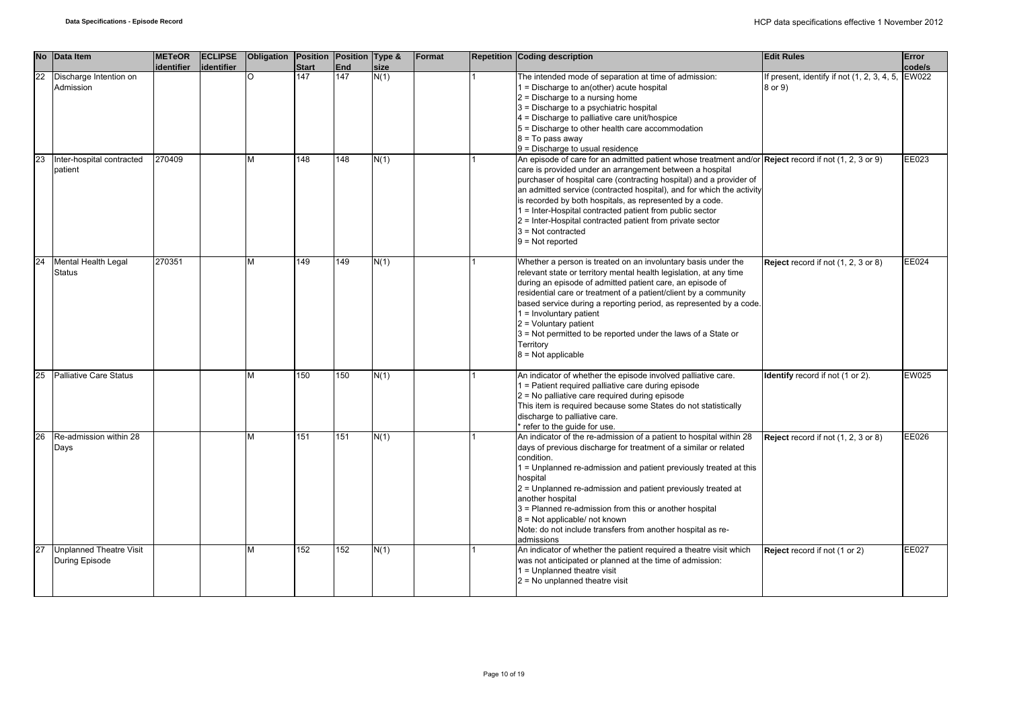| <b>No</b> | Data Item                                        | <b>METeOR</b><br>identifier | <b>ECLIPSE</b><br>identifier | <b>Obligation</b> | <b>Start</b> | Position Position Type &<br>End | size | Format | <b>Repetition Coding description</b>                                                                                                                                                                                                                                                                                                                                                                                                                                                                                                                 | <b>Edit Rules</b>                                                        | Error<br>code/s |
|-----------|--------------------------------------------------|-----------------------------|------------------------------|-------------------|--------------|---------------------------------|------|--------|------------------------------------------------------------------------------------------------------------------------------------------------------------------------------------------------------------------------------------------------------------------------------------------------------------------------------------------------------------------------------------------------------------------------------------------------------------------------------------------------------------------------------------------------------|--------------------------------------------------------------------------|-----------------|
| 22        | Discharge Intention on<br>Admission              |                             |                              | $\Omega$          | 147          | 147                             | N(1) |        | The intended mode of separation at time of admission:<br>1 = Discharge to an(other) acute hospital<br>$2$ = Discharge to a nursing home<br>3 = Discharge to a psychiatric hospital<br>4 = Discharge to palliative care unit/hospice<br>5 = Discharge to other health care accommodation<br>8 = To pass away<br>9 = Discharge to usual residence                                                                                                                                                                                                      | If present, identify if not $(1, 2, 3, 4, 5, \mathbb{E}W022)$<br>8 or 9) |                 |
| 23        | Inter-hospital contracted<br>patient             | 270409                      |                              | M                 | 148          | 148                             | N(1) |        | An episode of care for an admitted patient whose treatment and/or Reject record if not (1, 2, 3 or 9)<br>care is provided under an arrangement between a hospital<br>purchaser of hospital care (contracting hospital) and a provider of<br>an admitted service (contracted hospital), and for which the activity<br>is recorded by both hospitals, as represented by a code.<br>1 = Inter-Hospital contracted patient from public sector<br>2 = Inter-Hospital contracted patient from private sector<br>$3$ = Not contracted<br>$9 = Not reported$ |                                                                          | EE023           |
| 24        | Mental Health Legal<br><b>Status</b>             | 270351                      |                              | M                 | 149          | 149                             | N(1) |        | Whether a person is treated on an involuntary basis under the<br>relevant state or territory mental health legislation, at any time<br>during an episode of admitted patient care, an episode of<br>residential care or treatment of a patient/client by a community<br>based service during a reporting period, as represented by a code.<br>$1 =$ Involuntary patient<br>$2$ = Voluntary patient<br>3 = Not permitted to be reported under the laws of a State or<br>Territory<br>$8 = Not applicable$                                             | Reject record if not (1, 2, 3 or 8)                                      | EE024           |
| 25        | <b>Palliative Care Status</b>                    |                             |                              | М                 | 150          | 150                             | N(1) |        | An indicator of whether the episode involved palliative care.<br>1 = Patient required palliative care during episode<br>2 = No palliative care required during episode<br>This item is required because some States do not statistically<br>discharge to palliative care.<br>* refer to the guide for use.                                                                                                                                                                                                                                           | Identify record if not (1 or 2).                                         | EW025           |
| 26        | Re-admission within 28<br>Days                   |                             |                              | М                 | 151          | 151                             | N(1) |        | An indicator of the re-admission of a patient to hospital within 28<br>days of previous discharge for treatment of a similar or related<br>condition.<br>1 = Unplanned re-admission and patient previously treated at this<br>hospital<br>2 = Unplanned re-admission and patient previously treated at<br>another hospital<br>3 = Planned re-admission from this or another hospital<br>$8$ = Not applicable/ not known<br>Note: do not include transfers from another hospital as re-<br>admissions                                                 | Reject record if not (1, 2, 3 or 8)                                      | EE026           |
| 27        | <b>Unplanned Theatre Visit</b><br>During Episode |                             |                              | M                 | 152          | 152                             | N(1) |        | An indicator of whether the patient required a theatre visit which<br>was not anticipated or planned at the time of admission:<br>1 = Unplanned theatre visit<br>$2$ = No unplanned theatre visit                                                                                                                                                                                                                                                                                                                                                    | Reject record if not (1 or 2)                                            | EE027           |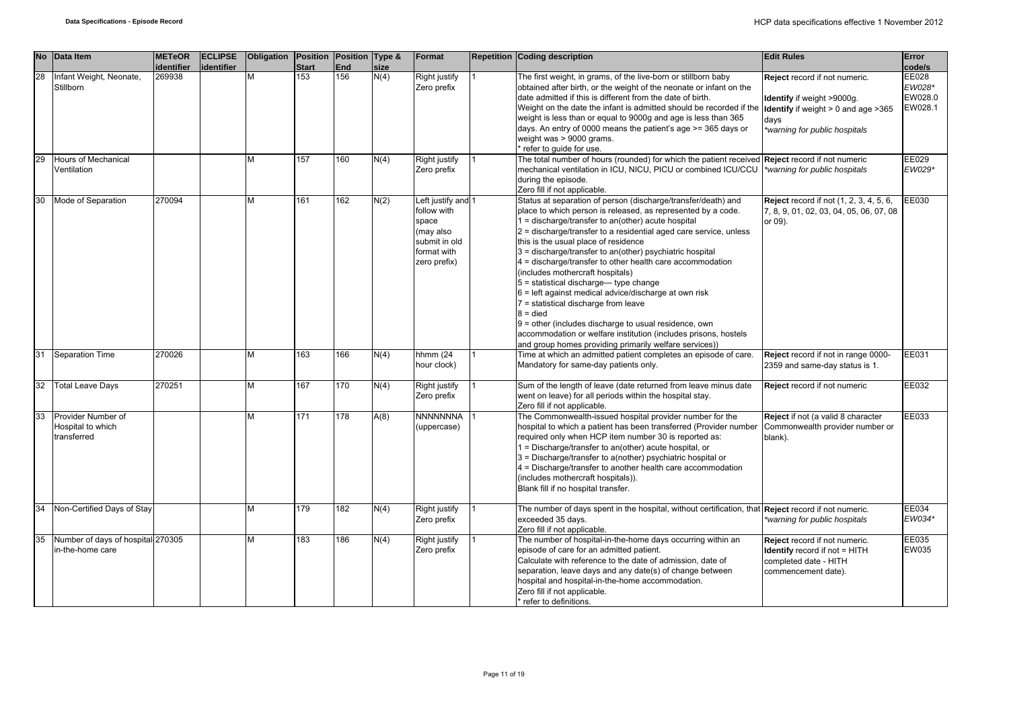|    | No Data Item                                           | <b>METeOR</b><br>identifier | <b>ECLIPSE</b><br>identifier | Obligation | Position Position Type &<br><b>Start</b> | End | size | Format                                                                                                  | <b>Repetition Coding description</b>                                                                                                                                                                                                                                                                                                                                                                                                                                                                                                                                                                                                                                                                                                                                                                           | <b>Edit Rules</b>                                                                                                                                             | Error<br>code/s                       |
|----|--------------------------------------------------------|-----------------------------|------------------------------|------------|------------------------------------------|-----|------|---------------------------------------------------------------------------------------------------------|----------------------------------------------------------------------------------------------------------------------------------------------------------------------------------------------------------------------------------------------------------------------------------------------------------------------------------------------------------------------------------------------------------------------------------------------------------------------------------------------------------------------------------------------------------------------------------------------------------------------------------------------------------------------------------------------------------------------------------------------------------------------------------------------------------------|---------------------------------------------------------------------------------------------------------------------------------------------------------------|---------------------------------------|
| 28 | Infant Weight, Neonate,<br>Stillborn                   | 269938                      |                              | M          | 153                                      | 156 | N(4) | Right justify<br>Zero prefix                                                                            | The first weight, in grams, of the live-born or stillborn baby<br>obtained after birth, or the weight of the neonate or infant on the<br>date admitted if this is different from the date of birth.<br>Weight on the date the infant is admitted should be recorded if the<br>weight is less than or equal to 9000g and age is less than 365<br>days. An entry of 0000 means the patient's age >= 365 days or<br>weight was > 9000 grams.<br>refer to guide for use.                                                                                                                                                                                                                                                                                                                                           | Reject record if not numeric.<br><b>Identify</b> if weight >9000g.<br><b>Identify</b> if weight $> 0$ and age $>365$<br>days<br>*warning for public hospitals | EE028<br>EW028*<br>EW028.0<br>EW028.1 |
| 29 | <b>Hours of Mechanical</b><br>Ventilation              |                             |                              | М          | 157                                      | 160 | N(4) | Right justify<br>Zero prefix                                                                            | The total number of hours (rounded) for which the patient received<br>mechanical ventilation in ICU, NICU, PICU or combined ICU/CCU<br>during the episode.<br>Zero fill if not applicable.                                                                                                                                                                                                                                                                                                                                                                                                                                                                                                                                                                                                                     | Reject record if not numeric<br>*warning for public hospitals                                                                                                 | EE029<br>EW029*                       |
| 30 | Mode of Separation                                     | 270094                      |                              | М          | 161                                      | 162 | N(2) | Left justify and 1<br>follow with<br>space<br>(may also<br>submit in old<br>format with<br>zero prefix) | Status at separation of person (discharge/transfer/death) and<br>place to which person is released, as represented by a code.<br>1 = discharge/transfer to an(other) acute hospital<br>2 = discharge/transfer to a residential aged care service, unless<br>this is the usual place of residence<br>3 = discharge/transfer to an(other) psychiatric hospital<br>4 = discharge/transfer to other health care accommodation<br>(includes mothercraft hospitals)<br>$5 =$ statistical discharge— type change<br>6 = left against medical advice/discharge at own risk<br>7 = statistical discharge from leave<br>$8 =$ died<br>9 = other (includes discharge to usual residence, own<br>accommodation or welfare institution (includes prisons, hostels<br>and group homes providing primarily welfare services)) | <b>Reject</b> record if not (1, 2, 3, 4, 5, 6,<br>7, 8, 9, 01, 02, 03, 04, 05, 06, 07, 08<br>or 09).                                                          | EE030                                 |
| 31 | <b>Separation Time</b>                                 | 270026                      |                              | M          | 163                                      | 166 | N(4) | hhmm (24<br>hour clock)                                                                                 | Time at which an admitted patient completes an episode of care.<br>Mandatory for same-day patients only.                                                                                                                                                                                                                                                                                                                                                                                                                                                                                                                                                                                                                                                                                                       | Reject record if not in range 0000-<br>2359 and same-day status is 1.                                                                                         | EE031                                 |
| 32 | <b>Total Leave Days</b>                                | 270251                      |                              | M          | 167                                      | 170 | N(4) | <b>Right justify</b><br>Zero prefix                                                                     | Sum of the length of leave (date returned from leave minus date<br>went on leave) for all periods within the hospital stay.<br>Zero fill if not applicable.                                                                                                                                                                                                                                                                                                                                                                                                                                                                                                                                                                                                                                                    | Reject record if not numeric                                                                                                                                  | EE032                                 |
| 33 | Provider Number of<br>Hospital to which<br>transferred |                             |                              | M          | 171                                      | 178 | A(8) | <b>NNNNNNNA</b><br>(uppercase)                                                                          | The Commonwealth-issued hospital provider number for the<br>hospital to which a patient has been transferred (Provider number<br>required only when HCP item number 30 is reported as:<br>1 = Discharge/transfer to an(other) acute hospital, or<br>3 = Discharge/transfer to a(nother) psychiatric hospital or<br>4 = Discharge/transfer to another health care accommodation<br>(includes mothercraft hospitals)).<br>Blank fill if no hospital transfer.                                                                                                                                                                                                                                                                                                                                                    | Reject if not (a valid 8 character<br>Commonwealth provider number or<br>blank).                                                                              | EE033                                 |
| 34 | Non-Certified Days of Stay                             |                             |                              | M          | 179                                      | 182 | N(4) | Right justify<br>Zero prefix                                                                            | The number of days spent in the hospital, without certification, that Reject record if not numeric.<br>exceeded 35 days.<br>Zero fill if not applicable.                                                                                                                                                                                                                                                                                                                                                                                                                                                                                                                                                                                                                                                       | *warning for public hospitals                                                                                                                                 | EE034<br>EW034*                       |
| 35 | Number of days of hospital 270305<br>in-the-home care  |                             |                              | М          | 183                                      | 186 | N(4) | Right justify<br>Zero prefix                                                                            | The number of hospital-in-the-home days occurring within an<br>episode of care for an admitted patient.<br>Calculate with reference to the date of admission, date of<br>separation, leave days and any date(s) of change between<br>hospital and hospital-in-the-home accommodation.<br>Zero fill if not applicable.<br>* refer to definitions.                                                                                                                                                                                                                                                                                                                                                                                                                                                               | Reject record if not numeric.<br><b>Identify</b> record if not = HITH<br>completed date - HITH<br>commencement date).                                         | EE035<br>EW035                        |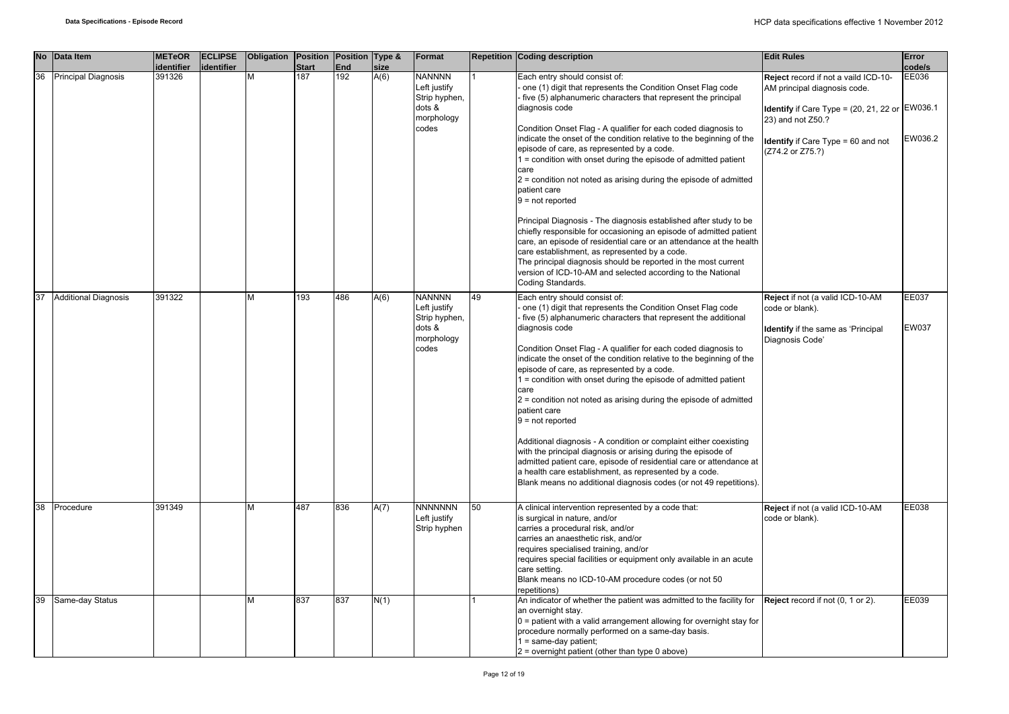| <b>No</b> | Data Item                   | <b>METeOR</b><br>identifier | <b>ECLIPSE</b><br>identifier | Obligation Position Position Type & | <b>Start</b> | End | size | Format                                                                          |    | <b>Repetition Coding description</b>                                                                                                                                                                                                                                                                                                                                                                                                                                                                                                                                                                                                                                                                                                                                                                                                                                                                                                                                                     | <b>Edit Rules</b>                                                                                                                                                                                                           | Error<br>code/s       |
|-----------|-----------------------------|-----------------------------|------------------------------|-------------------------------------|--------------|-----|------|---------------------------------------------------------------------------------|----|------------------------------------------------------------------------------------------------------------------------------------------------------------------------------------------------------------------------------------------------------------------------------------------------------------------------------------------------------------------------------------------------------------------------------------------------------------------------------------------------------------------------------------------------------------------------------------------------------------------------------------------------------------------------------------------------------------------------------------------------------------------------------------------------------------------------------------------------------------------------------------------------------------------------------------------------------------------------------------------|-----------------------------------------------------------------------------------------------------------------------------------------------------------------------------------------------------------------------------|-----------------------|
| 36        | <b>Principal Diagnosis</b>  | 391326                      |                              | М                                   | 187          | 192 | A(6) | <b>NANNNN</b><br>Left justify<br>Strip hyphen,<br>dots &<br>morphology<br>codes |    | Each entry should consist of:<br>one (1) digit that represents the Condition Onset Flag code<br>five (5) alphanumeric characters that represent the principal<br>diagnosis code<br>Condition Onset Flag - A qualifier for each coded diagnosis to<br>indicate the onset of the condition relative to the beginning of the<br>episode of care, as represented by a code.<br>1 = condition with onset during the episode of admitted patient<br>care<br>$2$ = condition not noted as arising during the episode of admitted<br>patient care<br>$9 = not reported$<br>Principal Diagnosis - The diagnosis established after study to be<br>chiefly responsible for occasioning an episode of admitted patient<br>care, an episode of residential care or an attendance at the health<br>care establishment, as represented by a code.<br>The principal diagnosis should be reported in the most current<br>version of ICD-10-AM and selected according to the National<br>Coding Standards. | Reject record if not a vaild ICD-10-<br>AM principal diagnosis code.<br><b>Identify</b> if Care Type = $(20, 21, 22)$ or $ EW036.1$<br>23) and not Z50.?<br><b>Identify</b> if Care Type $= 60$ and not<br>(Z74.2 or Z75.?) | EE036<br>EW036.2      |
| 37        | <b>Additional Diagnosis</b> | 391322                      |                              | M                                   | 193          | 486 | A(6) | <b>NANNNN</b><br>Left justify<br>Strip hyphen,<br>dots &<br>morphology<br>codes | 49 | Each entry should consist of:<br>one (1) digit that represents the Condition Onset Flag code<br>five (5) alphanumeric characters that represent the additional<br>diagnosis code<br>Condition Onset Flag - A qualifier for each coded diagnosis to<br>indicate the onset of the condition relative to the beginning of the<br>episode of care, as represented by a code.<br>$1 =$ condition with onset during the episode of admitted patient<br>care<br>2 = condition not noted as arising during the episode of admitted<br>patient care<br>$9 = not reported$<br>Additional diagnosis - A condition or complaint either coexisting<br>with the principal diagnosis or arising during the episode of<br>admitted patient care, episode of residential care or attendance at<br>a health care establishment, as represented by a code.<br>Blank means no additional diagnosis codes (or not 49 repetitions).                                                                            | Reject if not (a valid ICD-10-AM<br>code or blank).<br><b>Identify</b> if the same as 'Principal<br>Diagnosis Code'                                                                                                         | <b>EE037</b><br>EW037 |
| 38        | Procedure                   | 391349                      |                              | М                                   | 487          | 836 | A(7) | <b>NNNNNNN</b><br>Left justify<br>Strip hyphen                                  | 50 | A clinical intervention represented by a code that:<br>is surgical in nature, and/or<br>carries a procedural risk, and/or<br>carries an anaesthetic risk, and/or<br>requires specialised training, and/or<br>requires special facilities or equipment only available in an acute<br>care setting.<br>Blank means no ICD-10-AM procedure codes (or not 50<br>repetitions)                                                                                                                                                                                                                                                                                                                                                                                                                                                                                                                                                                                                                 | Reject if not (a valid ICD-10-AM<br>code or blank).                                                                                                                                                                         | EE038                 |
| 39        | Same-day Status             |                             |                              | М                                   | 837          | 837 | N(1) |                                                                                 |    | An indicator of whether the patient was admitted to the facility for<br>an overnight stay.<br>$0$ = patient with a valid arrangement allowing for overnight stay for<br>procedure normally performed on a same-day basis.<br>$1 = same-day patient;$<br>$2$ = overnight patient (other than type 0 above)                                                                                                                                                                                                                                                                                                                                                                                                                                                                                                                                                                                                                                                                                | Reject record if not (0, 1 or 2).                                                                                                                                                                                           | EE039                 |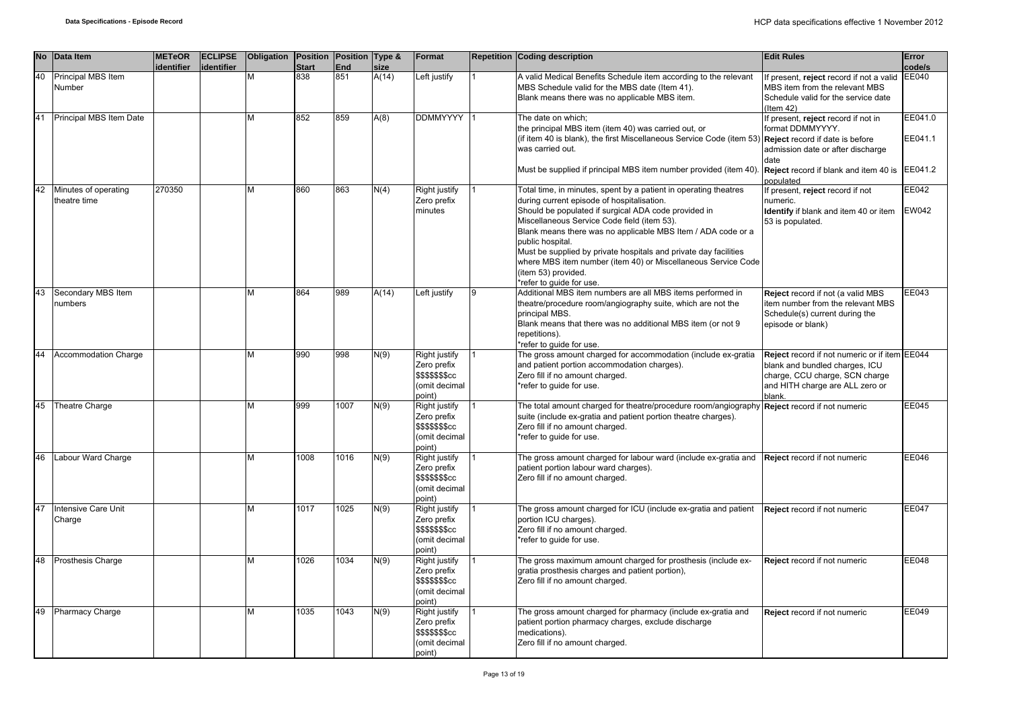| <b>No</b> | Data Item                            | <b>METeOR</b> | <b>ECLIPSE</b> | Obligation Position Position Type & |                     |                   |               | Format                                                                                   | <b>Repetition Coding description</b>                                                                                                                                                                                                                                                                                                                                          | <b>Edit Rules</b>                                                                                                                                                                      | Error                         |
|-----------|--------------------------------------|---------------|----------------|-------------------------------------|---------------------|-------------------|---------------|------------------------------------------------------------------------------------------|-------------------------------------------------------------------------------------------------------------------------------------------------------------------------------------------------------------------------------------------------------------------------------------------------------------------------------------------------------------------------------|----------------------------------------------------------------------------------------------------------------------------------------------------------------------------------------|-------------------------------|
| 40        | Principal MBS Item<br>Number         | identifier    | identifier     | M                                   | <b>Start</b><br>838 | <b>End</b><br>851 | size<br>A(14) | Left justify                                                                             | A valid Medical Benefits Schedule item according to the relevant<br>MBS Schedule valid for the MBS date (Item 41).<br>Blank means there was no applicable MBS item.                                                                                                                                                                                                           | If present, reject record if not a valid<br>MBS item from the relevant MBS<br>Schedule valid for the service date<br>(Item $42$ )                                                      | code/s<br><b>EE040</b>        |
| 41        | Principal MBS Item Date              |               |                | M                                   | 852                 | 859               | A(8)          | <b>DDMMYYYY</b>                                                                          | The date on which;<br>the principal MBS item (item 40) was carried out, or<br>(if item 40 is blank), the first Miscellaneous Service Code (item 53)<br>was carried out.<br>Must be supplied if principal MBS item number provided (item 40).                                                                                                                                  | f present, reject record if not in<br>format DDMMYYYY.<br><b>Reject</b> record if date is before<br>admission date or after discharge<br>date<br>Reject record if blank and item 40 is | EE041.0<br>EE041.1<br>EE041.2 |
| 42        | Minutes of operating<br>theatre time | 270350        |                | M                                   | 860                 | 863               | N(4)          | Right justify<br>Zero prefix<br>minutes                                                  | Total time, in minutes, spent by a patient in operating theatres<br>during current episode of hospitalisation.<br>Should be populated if surgical ADA code provided in<br>Miscellaneous Service Code field (item 53).<br>Blank means there was no applicable MBS Item / ADA code or a<br>public hospital.<br>Must be supplied by private hospitals and private day facilities | populated<br>If present, reject record if not<br>numeric.<br>Identify if blank and item 40 or item<br>53 is populated.                                                                 | EE042<br><b>EW042</b>         |
| 43        | Secondary MBS Item                   |               |                | м                                   | 864                 | 989               | A(14)         | eft justify                                                                              | where MBS item number (item 40) or Miscellaneous Service Code<br>(item 53) provided.<br>*refer to guide for use.<br>Additional MBS item numbers are all MBS items performed in                                                                                                                                                                                                | Reject record if not (a valid MBS                                                                                                                                                      | EE043                         |
|           | numbers                              |               |                |                                     |                     |                   |               |                                                                                          | theatre/procedure room/angiography suite, which are not the<br>principal MBS.<br>Blank means that there was no additional MBS item (or not 9<br>repetitions).<br>*refer to quide for use.                                                                                                                                                                                     | item number from the relevant MBS<br>Schedule(s) current during the<br>episode or blank)                                                                                               |                               |
| 44        | <b>Accommodation Charge</b>          |               |                | М                                   | 990                 | 998               | N(9)          | Right justify<br>Zero prefix<br>\$\$\$\$\$\$\$cc<br>(omit decimal<br>point)              | The gross amount charged for accommodation (include ex-gratia<br>and patient portion accommodation charges).<br>Zero fill if no amount charged.<br>*refer to guide for use.                                                                                                                                                                                                   | Reject record if not numeric or if item EE044<br>blank and bundled charges, ICU<br>charge, CCU charge, SCN charge<br>and HITH charge are ALL zero or<br>blank.                         |                               |
| 45        | Theatre Charge                       |               |                | м                                   | 999                 | 1007              | N(9)          | Right justify<br>Zero prefix<br>\$\$\$\$\$\$\$cc<br>(omit decimal<br>point)              | The total amount charged for theatre/procedure room/angiography<br>suite (include ex-gratia and patient portion theatre charges).<br>Zero fill if no amount charged.<br>*refer to guide for use.                                                                                                                                                                              | Reject record if not numeric                                                                                                                                                           | <b>EE045</b>                  |
| 46        | Labour Ward Charge                   |               |                | M                                   | 1008                | 1016              | N(9)          | <b>Right justify</b><br>Zero prefix<br>\$\$\$\$\$\$\$cc<br>(omit decimal<br>point)       | The gross amount charged for labour ward (include ex-gratia and<br>patient portion labour ward charges).<br>Zero fill if no amount charged.                                                                                                                                                                                                                                   | Reject record if not numeric                                                                                                                                                           | EE046                         |
| 47        | Intensive Care Unit<br>Charge        |               |                | M                                   | 1017                | 1025              | N(9)          | Right justify<br>Zero prefix<br>\$\$\$\$\$\$ <sub>\$</sub> cc<br>(omit decimal<br>point) | The gross amount charged for ICU (include ex-gratia and patient<br>portion ICU charges).<br>Zero fill if no amount charged.<br>*refer to guide for use.                                                                                                                                                                                                                       | Reject record if not numeric                                                                                                                                                           | <b>EE047</b>                  |
| 48        | Prosthesis Charge                    |               |                | м                                   | 1026                | 1034              | N(9)          | Right justify<br>Zero prefix<br>\$\$\$\$\$\$\$cc<br>(omit decimal<br>point)              | The gross maximum amount charged for prosthesis (include ex-<br>gratia prosthesis charges and patient portion),<br>Zero fill if no amount charged.                                                                                                                                                                                                                            | Reject record if not numeric                                                                                                                                                           | <b>EE048</b>                  |
| 49        | <b>Pharmacy Charge</b>               |               |                | M                                   | 1035                | 1043              | N(9)          | Right justify<br>Zero prefix<br>\$\$\$\$\$\$ <sub>\$</sub> cc<br>(omit decimal<br>point) | The gross amount charged for pharmacy (include ex-gratia and<br>patient portion pharmacy charges, exclude discharge<br>medications).<br>Zero fill if no amount charged.                                                                                                                                                                                                       | Reject record if not numeric                                                                                                                                                           | EE049                         |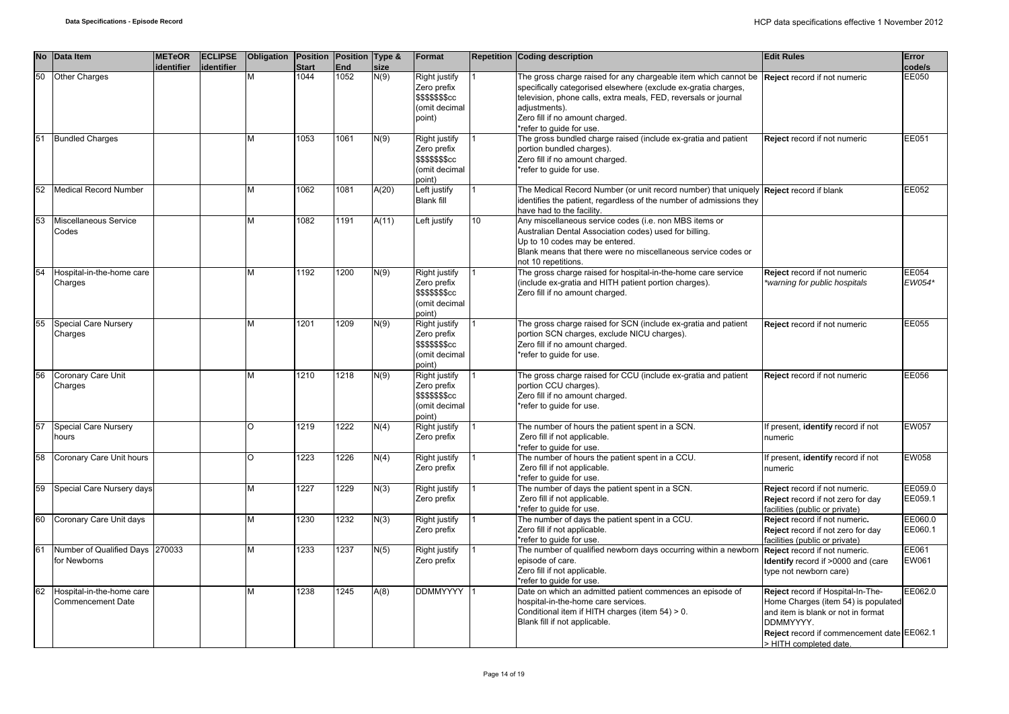|    | No Data Item                                          | <b>METeOR</b><br>identifier | <b>ECLIPSE</b><br>identifier | Obligation Position Position Type & | <b>Start</b> | <b>End</b> | size  | Format                                                                     |    | Repetition Coding description                                                                                                                                                                                                                                                        | <b>Edit Rules</b>                                                                                                                                                                                   | Error<br>code/s    |
|----|-------------------------------------------------------|-----------------------------|------------------------------|-------------------------------------|--------------|------------|-------|----------------------------------------------------------------------------|----|--------------------------------------------------------------------------------------------------------------------------------------------------------------------------------------------------------------------------------------------------------------------------------------|-----------------------------------------------------------------------------------------------------------------------------------------------------------------------------------------------------|--------------------|
| 50 | Other Charges                                         |                             |                              | М                                   | 1044         | 1052       | N(9)  | Right justify<br>Zero prefix<br>\$\$\$\$\$\$cc<br>omit decimal<br>(point   |    | The gross charge raised for any chargeable item which cannot be<br>specifically categorised elsewhere (exclude ex-gratia charges,<br>television, phone calls, extra meals, FED, reversals or journal<br>adjustments).<br>Zero fill if no amount charged.<br>*refer to guide for use. | Reject record if not numeric                                                                                                                                                                        | EE050              |
| 51 | <b>Bundled Charges</b>                                |                             |                              | М                                   | 1053         | 1061       | N(9)  | Right justify<br>Zero prefix<br>\$\$\$\$\$\$\$cc<br>omit decimal<br>ooint) |    | The gross bundled charge raised (include ex-gratia and patient<br>portion bundled charges).<br>Zero fill if no amount charged.<br>*refer to guide for use.                                                                                                                           | Reject record if not numeric                                                                                                                                                                        | EE051              |
| 52 | Medical Record Number                                 |                             |                              | М                                   | 1062         | 1081       | A(20) | eft justify<br><b>Blank fill</b>                                           |    | The Medical Record Number (or unit record number) that uniquely Reject record if blank<br>identifies the patient, regardless of the number of admissions they<br>have had to the facility.                                                                                           |                                                                                                                                                                                                     | EE052              |
| 53 | Miscellaneous Service<br>Codes                        |                             |                              | М                                   | 1082         | 1191       | A(11) | Left justify                                                               | 10 | Any miscellaneous service codes (i.e. non MBS items or<br>Australian Dental Association codes) used for billing.<br>Up to 10 codes may be entered.<br>Blank means that there were no miscellaneous service codes or<br>not 10 repetitions.                                           |                                                                                                                                                                                                     |                    |
| 54 | Hospital-in-the-home care<br>Charges                  |                             |                              | М                                   | 1192         | 1200       | N(9)  | Right justify<br>Zero prefix<br>\$\$\$\$\$\$cc<br>omit decimal<br>point)   |    | The gross charge raised for hospital-in-the-home care service<br>(include ex-gratia and HITH patient portion charges).<br>Zero fill if no amount charged.                                                                                                                            | Reject record if not numeric<br>warning for public hospitals                                                                                                                                        | EE054<br>EW054*    |
| 55 | Special Care Nursery<br>Charges                       |                             |                              | М                                   | 1201         | 1209       | N(9)  | Right justify<br>Zero prefix<br>\$\$\$\$\$\$cc<br>(omit decimal<br>()oint  |    | The gross charge raised for SCN (include ex-gratia and patient<br>portion SCN charges, exclude NICU charges).<br>Zero fill if no amount charged.<br>*refer to guide for use.                                                                                                         | Reject record if not numeric                                                                                                                                                                        | EE055              |
| 56 | <b>Coronary Care Unit</b><br>Charges                  |                             |                              | М                                   | 1210         | 1218       | N(9)  | Right justify<br>Zero prefix<br>\$\$\$\$\$\$\$cc<br>omit decimal<br>oint)  |    | The gross charge raised for CCU (include ex-gratia and patient<br>portion CCU charges).<br>Zero fill if no amount charged.<br>*refer to quide for use.                                                                                                                               | Reject record if not numeric                                                                                                                                                                        | EE056              |
| 57 | Special Care Nursery<br>hours                         |                             |                              | ∩                                   | 1219         | 1222       | N(4)  | Right justify<br>Zero prefix                                               |    | The number of hours the patient spent in a SCN.<br>Zero fill if not applicable.<br>*refer to quide for use.                                                                                                                                                                          | If present, identify record if not<br>numeric                                                                                                                                                       | EW057              |
| 58 | Coronary Care Unit hours                              |                             |                              | O                                   | 1223         | 1226       | N(4)  | Right justify<br>Zero prefix                                               |    | The number of hours the patient spent in a CCU.<br>Zero fill if not applicable.<br>*refer to guide for use.                                                                                                                                                                          | If present, identify record if not<br>numeric                                                                                                                                                       | EW058              |
| 59 | Special Care Nursery days                             |                             |                              | М                                   | 1227         | 1229       | N(3)  | Right justify<br>Zero prefix                                               |    | The number of days the patient spent in a SCN.<br>Zero fill if not applicable.<br>*refer to guide for use.                                                                                                                                                                           | Reject record if not numeric.<br>Reject record if not zero for day<br>facilities (public or private)                                                                                                | EE059.0<br>EE059.1 |
| 60 | Coronary Care Unit days                               |                             |                              | M                                   | 1230         | 1232       | N(3)  | Right justify<br>Zero prefix                                               |    | The number of days the patient spent in a CCU.<br>Zero fill if not applicable.<br>*refer to guide for use.                                                                                                                                                                           | Reject record if not numeric.<br>Reject record if not zero for day<br>facilities (public or private)                                                                                                | EE060.0<br>EE060.1 |
| 61 | Number of Qualified Days 270033<br>for Newborns       |                             |                              | М                                   | 1233         | 1237       | N(5)  | Right justify<br>Zero prefix                                               |    | The number of qualified newborn days occurring within a newborr<br>episode of care.<br>Zero fill if not applicable.<br>*refer to guide for use.                                                                                                                                      | Reject record if not numeric.<br><b>Identify</b> record if >0000 and (care<br>type not newborn care)                                                                                                | EE061<br>EW061     |
| 62 | Hospital-in-the-home care<br><b>Commencement Date</b> |                             |                              | M                                   | 1238         | 1245       | A(8)  | <b>DDMMYYYY</b>                                                            |    | Date on which an admitted patient commences an episode of<br>hospital-in-the-home care services.<br>Conditional item if HITH charges (item 54) > 0.<br>Blank fill if not applicable.                                                                                                 | Reject record if Hospital-In-The-<br>Home Charges (item 54) is populated<br>and item is blank or not in format<br>DDMMYYYY.<br>Reject record if commencement date EE062.1<br>> HITH completed date. | EE062.0            |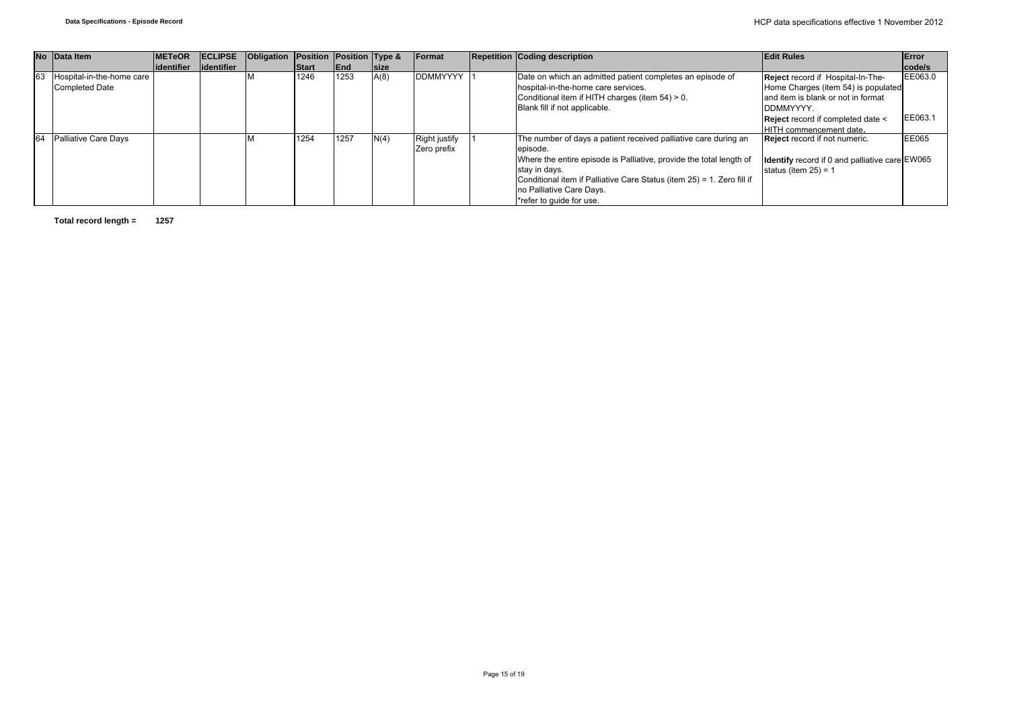|    | No Data Item              | <b>IMETeOR</b> | <b>IECLIPSE</b> | <b>Obligation</b> | Position Position Type & |             |             | Format               | <b>Repetition Coding description</b>                                   | <b>Edit Rules</b>                              | Error   |
|----|---------------------------|----------------|-----------------|-------------------|--------------------------|-------------|-------------|----------------------|------------------------------------------------------------------------|------------------------------------------------|---------|
|    |                           | lidentifier    | lidentifier     |                   | Start                    | <b>IEnd</b> | <b>Size</b> |                      |                                                                        |                                                | code/s  |
| 63 | Hospital-in-the-home care |                |                 |                   | 1246                     | 1253        | A(8)        | <b>DDMMYYYY</b>      | Date on which an admitted patient completes an episode of              | Reject record if Hospital-In-The-              | EE063.0 |
|    | Completed Date            |                |                 |                   |                          |             |             |                      | hospital-in-the-home care services.                                    | Home Charges (item 54) is populated            |         |
|    |                           |                |                 |                   |                          |             |             |                      | Conditional item if HITH charges (item 54) > 0.                        | and item is blank or not in format             |         |
|    |                           |                |                 |                   |                          |             |             |                      | Blank fill if not applicable.                                          | DDMMYYYY.                                      |         |
|    |                           |                |                 |                   |                          |             |             |                      |                                                                        | Reject record if completed date <              | EE063.1 |
|    |                           |                |                 |                   |                          |             |             |                      |                                                                        | <b>IHITH commencement date.</b>                |         |
| 64 | Palliative Care Days      |                |                 |                   | 1254                     | 1257        | N(4)        | <b>Right justify</b> | The number of days a patient received palliative care during an        | <b>Reject</b> record if not numeric.           | EE065   |
|    |                           |                |                 |                   |                          |             |             | Zero prefix          | episode.                                                               |                                                |         |
|    |                           |                |                 |                   |                          |             |             |                      | Where the entire episode is Palliative, provide the total length of    | Identify record if 0 and palliative care EW065 |         |
|    |                           |                |                 |                   |                          |             |             |                      | stay in days.                                                          | status (item $25$ ) = 1                        |         |
|    |                           |                |                 |                   |                          |             |             |                      | Conditional item if Palliative Care Status (item 25) = 1. Zero fill if |                                                |         |
|    |                           |                |                 |                   |                          |             |             |                      | no Palliative Care Days.                                               |                                                |         |
|    |                           |                |                 |                   |                          |             |             |                      | *refer to quide for use.                                               |                                                |         |

**Total record length = 1257**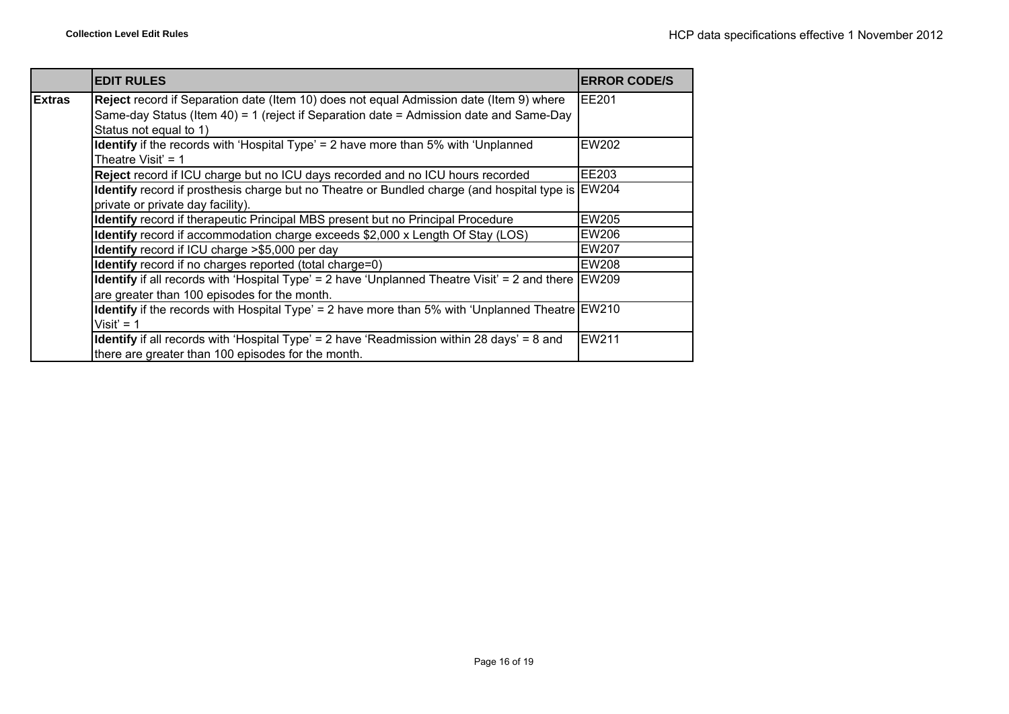|               | <b>EDIT RULES</b>                                                                                                                                                                 | <b>ERROR CODE/S</b> |
|---------------|-----------------------------------------------------------------------------------------------------------------------------------------------------------------------------------|---------------------|
| <b>Extras</b> | Reject record if Separation date (Item 10) does not equal Admission date (Item 9) where<br>Same-day Status (Item 40) = 1 (reject if Separation date = Admission date and Same-Day | EE201               |
|               | Status not equal to 1)                                                                                                                                                            |                     |
|               | <b>Identify</b> if the records with 'Hospital Type' = 2 have more than 5% with 'Unplanned'<br>Theatre Visit' = $1$                                                                | EW202               |
|               | Reject record if ICU charge but no ICU days recorded and no ICU hours recorded                                                                                                    | EE203               |
|               | Identify record if prosthesis charge but no Theatre or Bundled charge (and hospital type is EW204<br>private or private day facility).                                            |                     |
|               | Identify record if therapeutic Principal MBS present but no Principal Procedure                                                                                                   | <b>EW205</b>        |
|               | Identify record if accommodation charge exceeds \$2,000 x Length Of Stay (LOS)                                                                                                    | EW206               |
|               | Identify record if ICU charge >\$5,000 per day                                                                                                                                    | EW207               |
|               | <b>Identify</b> record if no charges reported (total charge=0)                                                                                                                    | EW208               |
|               | <b>Identify</b> if all records with 'Hospital Type' = 2 have 'Unplanned Theatre Visit' = 2 and there $EWS09$<br>are greater than 100 episodes for the month.                      |                     |
|               | <b>Identify</b> if the records with Hospital Type' = 2 have more than 5% with 'Unplanned Theatre EW210<br>$Visit' = 1$                                                            |                     |
|               | Identify if all records with 'Hospital Type' = 2 have 'Readmission within 28 days' = 8 and<br>there are greater than 100 episodes for the month.                                  | EW211               |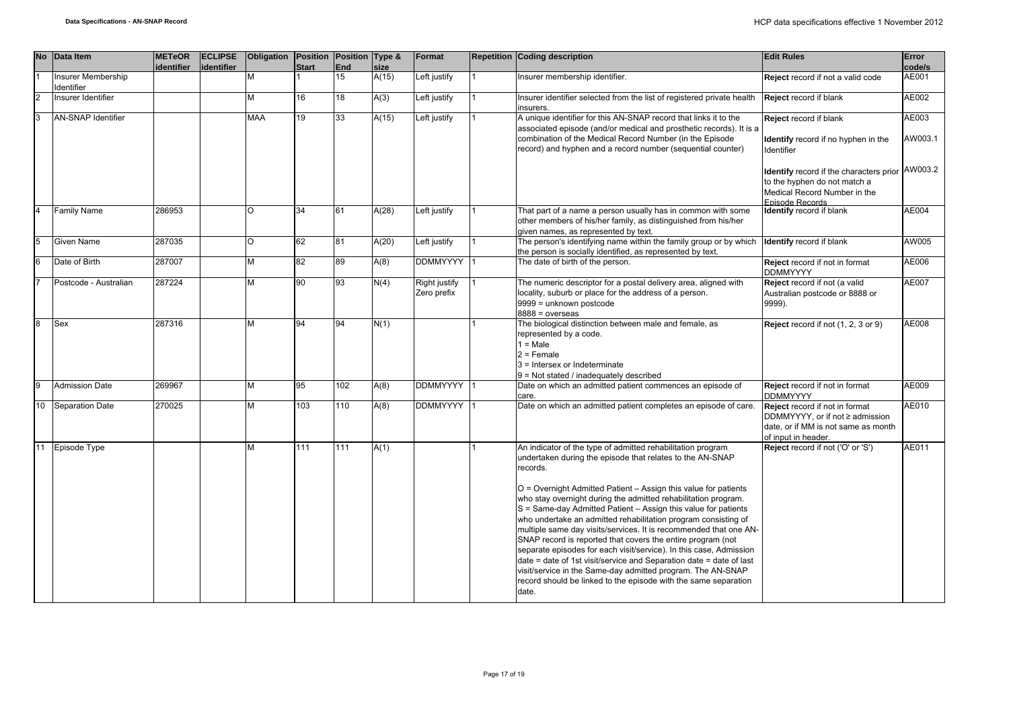| <b>No</b>      | Data Item                      | <b>METeOR</b><br>identifier | <b>ECLIPSE</b><br>identifier | Obligation Position Position Type & | <b>Start</b> | End | size  | Format                       | <b>Repetition Coding description</b>                                                                                                                                                                                                                                                                                                                                                                                                                                                                                                                                                                                                                                                                                                                                                                                                      | <b>Edit Rules</b>                                                                                                                 | Error<br>code/s  |
|----------------|--------------------------------|-----------------------------|------------------------------|-------------------------------------|--------------|-----|-------|------------------------------|-------------------------------------------------------------------------------------------------------------------------------------------------------------------------------------------------------------------------------------------------------------------------------------------------------------------------------------------------------------------------------------------------------------------------------------------------------------------------------------------------------------------------------------------------------------------------------------------------------------------------------------------------------------------------------------------------------------------------------------------------------------------------------------------------------------------------------------------|-----------------------------------------------------------------------------------------------------------------------------------|------------------|
|                | nsurer Membership<br>dentifier |                             |                              | М                                   |              | 15  | A(15) | Left justify                 | Insurer membership identifier.                                                                                                                                                                                                                                                                                                                                                                                                                                                                                                                                                                                                                                                                                                                                                                                                            | Reject record if not a valid code                                                                                                 | AE001            |
| $\overline{2}$ | Insurer Identifier             |                             |                              | М                                   | 16           | 18  | A(3)  | Left justify                 | Insurer identifier selected from the list of registered private health<br>insurers.                                                                                                                                                                                                                                                                                                                                                                                                                                                                                                                                                                                                                                                                                                                                                       | <b>Reject record if blank</b>                                                                                                     | AE002            |
| 3              | <b>AN-SNAP Identifier</b>      |                             |                              | <b>MAA</b>                          | 19           | 33  | A(15) | Left justify                 | A unique identifier for this AN-SNAP record that links it to the<br>associated episode (and/or medical and prosthetic records). It is a<br>combination of the Medical Record Number (in the Episode<br>record) and hyphen and a record number (sequential counter)                                                                                                                                                                                                                                                                                                                                                                                                                                                                                                                                                                        | Reject record if blank<br><b>Identify</b> record if no hyphen in the<br>Identifier                                                | AE003<br>AW003.1 |
|                |                                |                             |                              |                                     |              |     |       |                              |                                                                                                                                                                                                                                                                                                                                                                                                                                                                                                                                                                                                                                                                                                                                                                                                                                           | Identify record if the characters prior<br>to the hyphen do not match a<br>Medical Record Number in the<br><b>Enisode Records</b> | AW003.2          |
| $\overline{4}$ | <b>Family Name</b>             | 286953                      |                              | O                                   | 34           | 61  | A(28) | Left justify                 | That part of a name a person usually has in common with some<br>other members of his/her family, as distinguished from his/her<br>given names, as represented by text.                                                                                                                                                                                                                                                                                                                                                                                                                                                                                                                                                                                                                                                                    | <b>Identify</b> record if blank                                                                                                   | AE004            |
| 5              | Given Name                     | 287035                      |                              | O                                   | 62           | 81  | A(20) | Left justify                 | The person's identifying name within the family group or by which<br>the person is socially identified, as represented by text.                                                                                                                                                                                                                                                                                                                                                                                                                                                                                                                                                                                                                                                                                                           | <b>Identify record if blank</b>                                                                                                   | AW005            |
| <sup>6</sup>   | Date of Birth                  | 287007                      |                              | М                                   | 82           | 89  | A(8)  | DDMMYYYY                     | The date of birth of the person.                                                                                                                                                                                                                                                                                                                                                                                                                                                                                                                                                                                                                                                                                                                                                                                                          | Reject record if not in format<br><b>DDMMYYYY</b>                                                                                 | AE006            |
| 17             | Postcode - Australian          | 287224                      |                              | М                                   | 90           | 93  | N(4)  | Right justify<br>Zero prefix | The numeric descriptor for a postal delivery area, aligned with<br>locality, suburb or place for the address of a person.<br>9999 = unknown postcode<br>$8888 = 0$ verseas                                                                                                                                                                                                                                                                                                                                                                                                                                                                                                                                                                                                                                                                | Reject record if not (a valid<br>Australian postcode or 8888 or<br>9999).                                                         | AE007            |
| <sup>8</sup>   | <b>Sex</b>                     | 287316                      |                              | М                                   | 94           | 94  | N(1)  |                              | The biological distinction between male and female, as<br>represented by a code.<br>$1 = Male$<br>$2 =$ Female<br>3 = Intersex or Indeterminate<br>9 = Not stated / inadequately described                                                                                                                                                                                                                                                                                                                                                                                                                                                                                                                                                                                                                                                | Reject record if not (1, 2, 3 or 9)                                                                                               | AE008            |
| $\overline{9}$ | <b>Admission Date</b>          | 269967                      |                              | М                                   | 95           | 102 | A(8)  | DDMMYYYY                     | Date on which an admitted patient commences an episode of<br>care.                                                                                                                                                                                                                                                                                                                                                                                                                                                                                                                                                                                                                                                                                                                                                                        | <b>Reject</b> record if not in format<br><b>DDMMYYYY</b>                                                                          | AE009            |
| 10             | <b>Separation Date</b>         | 270025                      |                              | М                                   | 103          | 110 | A(8)  | <b>DDMMYYYY</b>              | Date on which an admitted patient completes an episode of care.                                                                                                                                                                                                                                                                                                                                                                                                                                                                                                                                                                                                                                                                                                                                                                           | Reject record if not in format<br>DDMMYYYY, or if not ≥ admission<br>date, or if MM is not same as month<br>of input in header.   | AE010            |
| 11             | Episode Type                   |                             |                              | М                                   | 111          | 111 | A(1)  |                              | An indicator of the type of admitted rehabilitation program<br>undertaken during the episode that relates to the AN-SNAP<br>records.<br>O = Overnight Admitted Patient - Assign this value for patients<br>who stay overnight during the admitted rehabilitation program.<br>S = Same-day Admitted Patient - Assign this value for patients<br>who undertake an admitted rehabilitation program consisting of<br>multiple same day visits/services. It is recommended that one AN-<br>SNAP record is reported that covers the entire program (not<br>separate episodes for each visit/service). In this case, Admission<br>date = date of 1st visit/service and Separation date = date of last<br>visit/service in the Same-day admitted program. The AN-SNAP<br>record should be linked to the episode with the same separation<br>date. | Reject record if not ('O' or 'S')                                                                                                 | AE011            |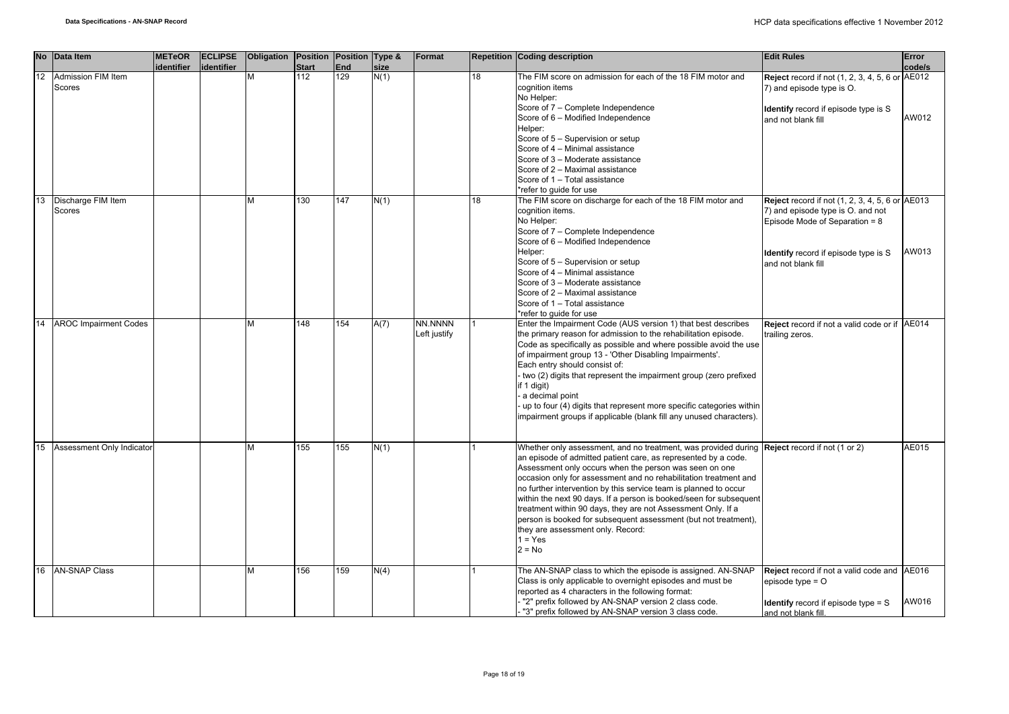| <b>No</b> | Data Item                    | <b>METeOR</b> | <b>ECLIPSE</b> | Obligation Position Position Type & |                     |                         |              | Format       |    | <b>Repetition Coding description</b>                                                                                                                                  | <b>Edit Rules</b>                                                 | Error  |
|-----------|------------------------------|---------------|----------------|-------------------------------------|---------------------|-------------------------|--------------|--------------|----|-----------------------------------------------------------------------------------------------------------------------------------------------------------------------|-------------------------------------------------------------------|--------|
| 12        | Admission FIM Item           | identifier    | identifier     | М                                   | <b>Start</b><br>112 | End<br>$\overline{129}$ | size<br>N(1) |              | 18 | The FIM score on admission for each of the 18 FIM motor and                                                                                                           | <b>Reject</b> record if not (1, 2, 3, 4, 5, 6 or AE012            | code/s |
|           | Scores                       |               |                |                                     |                     |                         |              |              |    | cognition items<br>No Helper:                                                                                                                                         | 7) and episode type is O.                                         |        |
|           |                              |               |                |                                     |                     |                         |              |              |    | Score of 7 - Complete Independence<br>Score of 6 - Modified Independence                                                                                              | <b>Identify</b> record if episode type is S<br>and not blank fill | AW012  |
|           |                              |               |                |                                     |                     |                         |              |              |    | Helper:<br>Score of 5 - Supervision or setup                                                                                                                          |                                                                   |        |
|           |                              |               |                |                                     |                     |                         |              |              |    | Score of 4 - Minimal assistance                                                                                                                                       |                                                                   |        |
|           |                              |               |                |                                     |                     |                         |              |              |    | Score of 3 - Moderate assistance                                                                                                                                      |                                                                   |        |
|           |                              |               |                |                                     |                     |                         |              |              |    | Score of 2 - Maximal assistance                                                                                                                                       |                                                                   |        |
|           |                              |               |                |                                     |                     |                         |              |              |    | Score of 1 - Total assistance<br>*refer to quide for use                                                                                                              |                                                                   |        |
| 13        | Discharge FIM Item           |               |                | М                                   | 130                 | 147                     | N(1)         |              | 18 | The FIM score on discharge for each of the 18 FIM motor and                                                                                                           | <b>Reject</b> record if not (1, 2, 3, 4, 5, 6 or AE013            |        |
|           | Scores                       |               |                |                                     |                     |                         |              |              |    | cognition items.                                                                                                                                                      | 7) and episode type is O. and not                                 |        |
|           |                              |               |                |                                     |                     |                         |              |              |    | No Helper:                                                                                                                                                            | Episode Mode of Separation = 8                                    |        |
|           |                              |               |                |                                     |                     |                         |              |              |    | Score of 7 - Complete Independence                                                                                                                                    |                                                                   |        |
|           |                              |               |                |                                     |                     |                         |              |              |    | Score of 6 - Modified Independence<br>Helper:                                                                                                                         |                                                                   | AW013  |
|           |                              |               |                |                                     |                     |                         |              |              |    | Score of 5 - Supervision or setup                                                                                                                                     | <b>Identify</b> record if episode type is S<br>and not blank fill |        |
|           |                              |               |                |                                     |                     |                         |              |              |    | Score of 4 - Minimal assistance                                                                                                                                       |                                                                   |        |
|           |                              |               |                |                                     |                     |                         |              |              |    | Score of 3 - Moderate assistance                                                                                                                                      |                                                                   |        |
|           |                              |               |                |                                     |                     |                         |              |              |    | Score of 2 - Maximal assistance<br>Score of 1 - Total assistance                                                                                                      |                                                                   |        |
|           |                              |               |                |                                     |                     |                         |              |              |    | *refer to quide for use                                                                                                                                               |                                                                   |        |
| 14        | <b>AROC Impairment Codes</b> |               |                | М                                   | 148                 | 154                     | A(7)         | NN.NNNN      |    | Enter the Impairment Code (AUS version 1) that best describes                                                                                                         | Reject record if not a valid code or if AE014                     |        |
|           |                              |               |                |                                     |                     |                         |              | Left justify |    | the primary reason for admission to the rehabilitation episode.                                                                                                       | trailing zeros.                                                   |        |
|           |                              |               |                |                                     |                     |                         |              |              |    | Code as specifically as possible and where possible avoid the use                                                                                                     |                                                                   |        |
|           |                              |               |                |                                     |                     |                         |              |              |    | of impairment group 13 - 'Other Disabling Impairments'.<br>Each entry should consist of:                                                                              |                                                                   |        |
|           |                              |               |                |                                     |                     |                         |              |              |    | - two (2) digits that represent the impairment group (zero prefixed                                                                                                   |                                                                   |        |
|           |                              |               |                |                                     |                     |                         |              |              |    | if 1 digit)                                                                                                                                                           |                                                                   |        |
|           |                              |               |                |                                     |                     |                         |              |              |    | - a decimal point                                                                                                                                                     |                                                                   |        |
|           |                              |               |                |                                     |                     |                         |              |              |    | - up to four (4) digits that represent more specific categories within                                                                                                |                                                                   |        |
|           |                              |               |                |                                     |                     |                         |              |              |    | impairment groups if applicable (blank fill any unused characters).                                                                                                   |                                                                   |        |
|           |                              |               |                |                                     |                     |                         |              |              |    |                                                                                                                                                                       |                                                                   |        |
| 15        | Assessment Only Indicator    |               |                | М                                   | 155                 | 155                     | N(1)         |              |    | Whether only assessment, and no treatment, was provided during <b>Reject</b> record if not (1 or 2)<br>an episode of admitted patient care, as represented by a code. |                                                                   | AE015  |
|           |                              |               |                |                                     |                     |                         |              |              |    | Assessment only occurs when the person was seen on one                                                                                                                |                                                                   |        |
|           |                              |               |                |                                     |                     |                         |              |              |    | occasion only for assessment and no rehabilitation treatment and                                                                                                      |                                                                   |        |
|           |                              |               |                |                                     |                     |                         |              |              |    | no further intervention by this service team is planned to occur                                                                                                      |                                                                   |        |
|           |                              |               |                |                                     |                     |                         |              |              |    | within the next 90 days. If a person is booked/seen for subsequent                                                                                                    |                                                                   |        |
|           |                              |               |                |                                     |                     |                         |              |              |    | treatment within 90 days, they are not Assessment Only. If a<br>person is booked for subsequent assessment (but not treatment),                                       |                                                                   |        |
|           |                              |               |                |                                     |                     |                         |              |              |    | they are assessment only. Record:                                                                                                                                     |                                                                   |        |
|           |                              |               |                |                                     |                     |                         |              |              |    | $1 = Yes$                                                                                                                                                             |                                                                   |        |
|           |                              |               |                |                                     |                     |                         |              |              |    | $2 = No$                                                                                                                                                              |                                                                   |        |
| 16        | <b>AN-SNAP Class</b>         |               |                | M                                   | 156                 | 159                     | N(4)         |              |    | The AN-SNAP class to which the episode is assigned. AN-SNAP<br>Class is only applicable to overnight episodes and must be                                             | Reject record if not a valid code and AE016                       |        |
|           |                              |               |                |                                     |                     |                         |              |              |    | reported as 4 characters in the following format:                                                                                                                     | episode type = $O$                                                |        |
|           |                              |               |                |                                     |                     |                         |              |              |    | "2" prefix followed by AN-SNAP version 2 class code.                                                                                                                  | <b>Identify</b> record if episode type $=$ S                      | AW016  |
|           |                              |               |                |                                     |                     |                         |              |              |    | "3" prefix followed by AN-SNAP version 3 class code.                                                                                                                  | and not blank fill                                                |        |